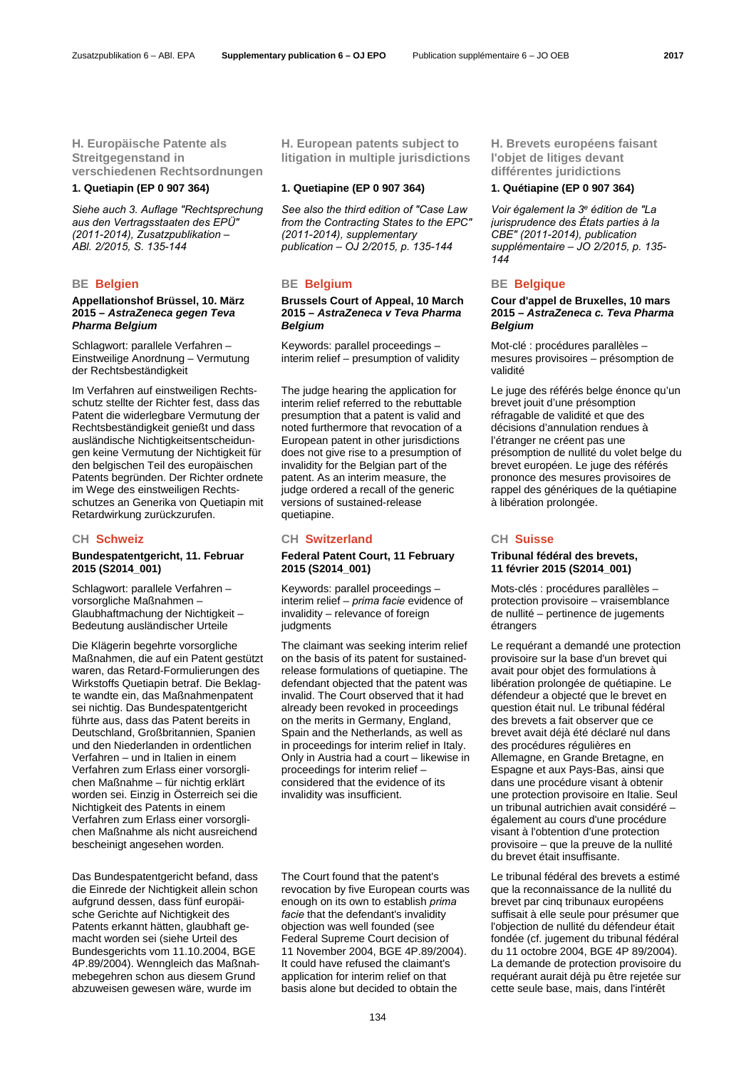**H. Europäische Patente als Streitgegenstand in verschiedenen Rechtsordnungen** 

*Siehe auch 3. Auflage "Rechtsprechung aus den Vertragsstaaten des EPÜ" (2011-2014), Zusatzpublikation – ABl. 2/2015, S. 135-144*

# **Appellationshof Brüssel, 10. März 2015 –** *AstraZeneca gegen Teva Pharma Belgium*

Schlagwort: parallele Verfahren – Einstweilige Anordnung – Vermutung der Rechtsbeständigkeit

Im Verfahren auf einstweiligen Rechtsschutz stellte der Richter fest, dass das Patent die widerlegbare Vermutung der Rechtsbeständigkeit genießt und dass ausländische Nichtigkeitsentscheidungen keine Vermutung der Nichtigkeit für den belgischen Teil des europäischen Patents begründen. Der Richter ordnete im Wege des einstweiligen Rechtsschutzes an Generika von Quetiapin mit Retardwirkung zurückzurufen.

# **Bundespatentgericht, 11. Februar 2015 (S2014\_001)**

Schlagwort: parallele Verfahren – vorsorgliche Maßnahmen – Glaubhaftmachung der Nichtigkeit – Bedeutung ausländischer Urteile

Die Klägerin begehrte vorsorgliche Maßnahmen, die auf ein Patent gestützt waren, das Retard-Formulierungen des Wirkstoffs Quetiapin betraf. Die Beklagte wandte ein, das Maßnahmenpatent sei nichtig. Das Bundespatentgericht führte aus, dass das Patent bereits in Deutschland, Großbritannien, Spanien und den Niederlanden in ordentlichen Verfahren – und in Italien in einem Verfahren zum Erlass einer vorsorglichen Maßnahme – für nichtig erklärt worden sei. Einzig in Österreich sei die Nichtigkeit des Patents in einem Verfahren zum Erlass einer vorsorglichen Maßnahme als nicht ausreichend bescheinigt angesehen worden.

Das Bundespatentgericht befand, dass die Einrede der Nichtigkeit allein schon aufgrund dessen, dass fünf europäische Gerichte auf Nichtigkeit des Patents erkannt hätten, glaubhaft gemacht worden sei (siehe Urteil des Bundesgerichts vom 11.10.2004, BGE 4P.89/2004). Wenngleich das Maßnahmebegehren schon aus diesem Grund abzuweisen gewesen wäre, wurde im

**H. European patents subject to litigation in multiple jurisdictions**

### **1. Quetiapin (EP 0 907 364) 1. Quetiapine (EP 0 907 364) 1. Quétiapine (EP 0 907 364)**

*See also the third edition of "Case Law from the Contracting States to the EPC" (2011-2014), supplementary publication – OJ 2/2015, p. 135-144*

# **BE Belgien BE Belgium BE Belgique**

# **Brussels Court of Appeal, 10 March 2015 –** *AstraZeneca v Teva Pharma Belgium*

 Keywords: parallel proceedings – interim relief – presumption of validity

 The judge hearing the application for interim relief referred to the rebuttable presumption that a patent is valid and noted furthermore that revocation of a European patent in other jurisdictions does not give rise to a presumption of invalidity for the Belgian part of the patent. As an interim measure, the judge ordered a recall of the generic versions of sustained-release quetiapine.

### **CH Schweiz CH Switzerland CH Suisse**

# **Federal Patent Court, 11 February 2015 (S2014\_001)**

 Keywords: parallel proceedings – interim relief – *prima facie* evidence of invalidity – relevance of foreign judgments

 The claimant was seeking interim relief on the basis of its patent for sustainedrelease formulations of quetiapine. The defendant objected that the patent was invalid. The Court observed that it had already been revoked in proceedings on the merits in Germany, England, Spain and the Netherlands, as well as in proceedings for interim relief in Italy. Only in Austria had a court – likewise in proceedings for interim relief – considered that the evidence of its invalidity was insufficient.

 The Court found that the patent's revocation by five European courts was enough on its own to establish *prima facie* that the defendant's invalidity objection was well founded (see Federal Supreme Court decision of 11 November 2004, BGE 4P.89/2004). It could have refused the claimant's application for interim relief on that basis alone but decided to obtain the

**H. Brevets européens faisant l'objet de litiges devant différentes juridictions** 

*Voir également la 3e édition de "La jurisprudence des États parties à la CBE" (2011-2014), publication supplémentaire – JO 2/2015, p. 135- 144*

# **Cour d'appel de Bruxelles, 10 mars 2015 –** *AstraZeneca c. Teva Pharma Belgium*

 Mot-clé : procédures parallèles – mesures provisoires – présomption de validité

 Le juge des référés belge énonce qu'un brevet jouit d'une présomption réfragable de validité et que des décisions d'annulation rendues à l'étranger ne créent pas une présomption de nullité du volet belge du brevet européen. Le juge des référés prononce des mesures provisoires de rappel des génériques de la quétiapine à libération prolongée.

### **Tribunal fédéral des brevets, 11 février 2015 (S2014\_001)**

 Mots-clés : procédures parallèles – protection provisoire – vraisemblance de nullité – pertinence de jugements étrangers

 Le requérant a demandé une protection provisoire sur la base d'un brevet qui avait pour objet des formulations à libération prolongée de quétiapine. Le défendeur a objecté que le brevet en question était nul. Le tribunal fédéral des brevets a fait observer que ce brevet avait déjà été déclaré nul dans des procédures régulières en Allemagne, en Grande Bretagne, en Espagne et aux Pays-Bas, ainsi que dans une procédure visant à obtenir une protection provisoire en Italie. Seul un tribunal autrichien avait considéré – également au cours d'une procédure visant à l'obtention d'une protection provisoire – que la preuve de la nullité du brevet était insuffisante.

 Le tribunal fédéral des brevets a estimé que la reconnaissance de la nullité du brevet par cinq tribunaux européens suffisait à elle seule pour présumer que l'objection de nullité du défendeur était fondée (cf. jugement du tribunal fédéral du 11 octobre 2004, BGE 4P 89/2004). La demande de protection provisoire du requérant aurait déjà pu être rejetée sur cette seule base, mais, dans l'intérêt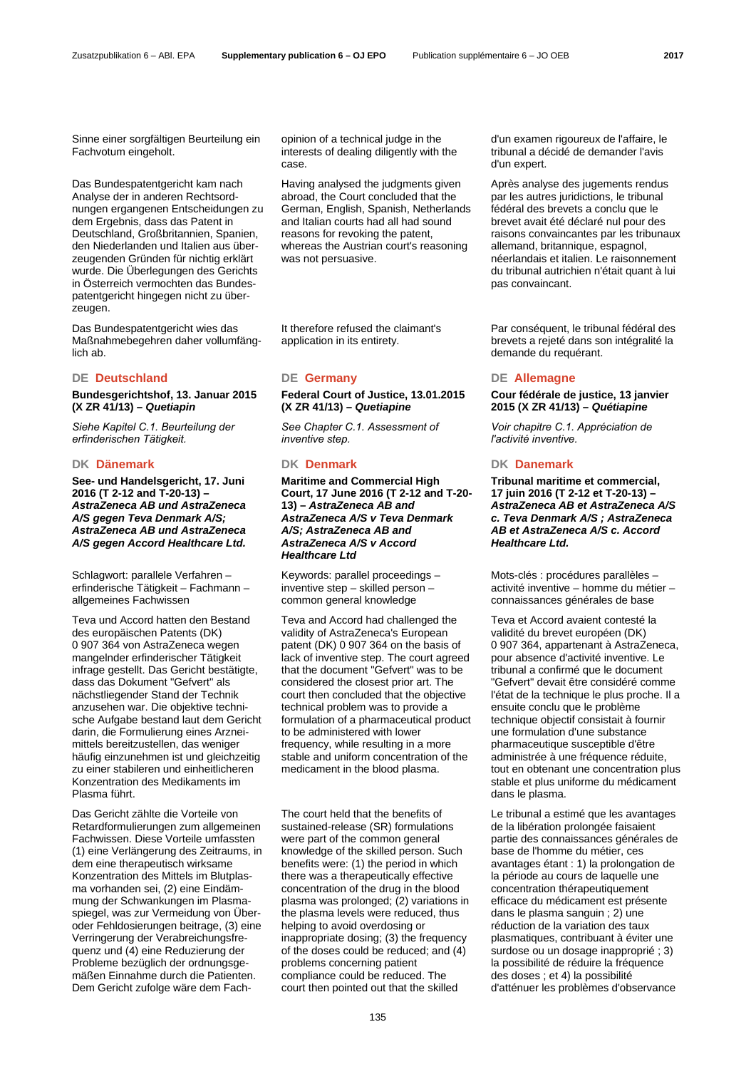Sinne einer sorgfältigen Beurteilung ein Fachvotum eingeholt.

Das Bundespatentgericht kam nach Analyse der in anderen Rechtsordnungen ergangenen Entscheidungen zu dem Ergebnis, dass das Patent in Deutschland, Großbritannien, Spanien, den Niederlanden und Italien aus überzeugenden Gründen für nichtig erklärt wurde. Die Überlegungen des Gerichts in Österreich vermochten das Bundespatentgericht hingegen nicht zu überzeugen.

Das Bundespatentgericht wies das Maßnahmebegehren daher vollumfänglich ab.

# **DE Deutschland DE Germany DE Allemagne**

**Bundesgerichtshof, 13. Januar 2015 (X ZR 41/13) –** *Quetiapin*

*Siehe Kapitel C.1. Beurteilung der erfinderischen Tätigkeit.*

# **DK Dänemark DK Denmark DK Danemark**

**See- und Handelsgericht, 17. Juni 2016 (T 2-12 and T-20-13) –**  *AstraZeneca AB und AstraZeneca A/S gegen Teva Denmark A/S; AstraZeneca AB und AstraZeneca A/S gegen Accord Healthcare Ltd.* 

Schlagwort: parallele Verfahren – erfinderische Tätigkeit – Fachmann – allgemeines Fachwissen

Teva und Accord hatten den Bestand des europäischen Patents (DK) 0 907 364 von AstraZeneca wegen mangelnder erfinderischer Tätigkeit infrage gestellt. Das Gericht bestätigte, dass das Dokument "Gefvert" als nächstliegender Stand der Technik anzusehen war. Die objektive technische Aufgabe bestand laut dem Gericht darin, die Formulierung eines Arzneimittels bereitzustellen, das weniger häufig einzunehmen ist und gleichzeitig zu einer stabileren und einheitlicheren Konzentration des Medikaments im Plasma führt.

Das Gericht zählte die Vorteile von Retardformulierungen zum allgemeinen Fachwissen. Diese Vorteile umfassten (1) eine Verlängerung des Zeitraums, in dem eine therapeutisch wirksame Konzentration des Mittels im Blutplasma vorhanden sei, (2) eine Eindämmung der Schwankungen im Plasmaspiegel, was zur Vermeidung von Überoder Fehldosierungen beitrage, (3) eine Verringerung der Verabreichungsfrequenz und (4) eine Reduzierung der Probleme bezüglich der ordnungsgemäßen Einnahme durch die Patienten. Dem Gericht zufolge wäre dem Fachopinion of a technical judge in the interests of dealing diligently with the case.

 Having analysed the judgments given abroad, the Court concluded that the German, English, Spanish, Netherlands and Italian courts had all had sound reasons for revoking the patent, whereas the Austrian court's reasoning was not persuasive.

 It therefore refused the claimant's application in its entirety.

 **Federal Court of Justice, 13.01.2015 (X ZR 41/13) –** *Quetiapine*

*See Chapter C.1. Assessment of inventive step.* 

**Maritime and Commercial High Court, 17 June 2016 (T 2-12 and T-20- 13) –** *AstraZeneca AB and AstraZeneca A/S v Teva Denmark A/S; AstraZeneca AB and AstraZeneca A/S v Accord Healthcare Ltd*

 Keywords: parallel proceedings – inventive step – skilled person – common general knowledge

 Teva and Accord had challenged the validity of AstraZeneca's European patent (DK) 0 907 364 on the basis of lack of inventive step. The court agreed that the document "Gefvert" was to be considered the closest prior art. The court then concluded that the objective technical problem was to provide a formulation of a pharmaceutical product to be administered with lower frequency, while resulting in a more stable and uniform concentration of the medicament in the blood plasma.

 The court held that the benefits of sustained-release (SR) formulations were part of the common general knowledge of the skilled person. Such benefits were: (1) the period in which there was a therapeutically effective concentration of the drug in the blood plasma was prolonged; (2) variations in the plasma levels were reduced, thus helping to avoid overdosing or inappropriate dosing; (3) the frequency of the doses could be reduced; and (4) problems concerning patient compliance could be reduced. The court then pointed out that the skilled

d'un examen rigoureux de l'affaire, le tribunal a décidé de demander l'avis d'un expert.

Après analyse des jugements rendus par les autres juridictions, le tribunal fédéral des brevets a conclu que le brevet avait été déclaré nul pour des raisons convaincantes par les tribunaux allemand, britannique, espagnol, néerlandais et italien. Le raisonnement du tribunal autrichien n'était quant à lui pas convaincant.

 Par conséquent, le tribunal fédéral des brevets a rejeté dans son intégralité la demande du requérant.

**Cour fédérale de justice, 13 janvier 2015 (X ZR 41/13) –** *Quétiapine*

*Voir chapitre C.1. Appréciation de l'activité inventive.*

**Tribunal maritime et commercial, 17 juin 2016 (T 2-12 et T-20-13) –**  *AstraZeneca AB et AstraZeneca A/S c. Teva Denmark A/S ; AstraZeneca AB et AstraZeneca A/S c. Accord Healthcare Ltd.* 

 Mots-clés : procédures parallèles – activité inventive – homme du métier – connaissances générales de base

 Teva et Accord avaient contesté la validité du brevet européen (DK) 0 907 364, appartenant à AstraZeneca, pour absence d'activité inventive. Le tribunal a confirmé que le document "Gefvert" devait être considéré comme l'état de la technique le plus proche. Il a ensuite conclu que le problème technique objectif consistait à fournir une formulation d'une substance pharmaceutique susceptible d'être administrée à une fréquence réduite, tout en obtenant une concentration plus stable et plus uniforme du médicament dans le plasma.

 Le tribunal a estimé que les avantages de la libération prolongée faisaient partie des connaissances générales de base de l'homme du métier, ces avantages étant : 1) la prolongation de la période au cours de laquelle une concentration thérapeutiquement efficace du médicament est présente dans le plasma sanguin : 2) une réduction de la variation des taux plasmatiques, contribuant à éviter une surdose ou un dosage inapproprié ; 3) la possibilité de réduire la fréquence des doses ; et 4) la possibilité d'atténuer les problèmes d'observance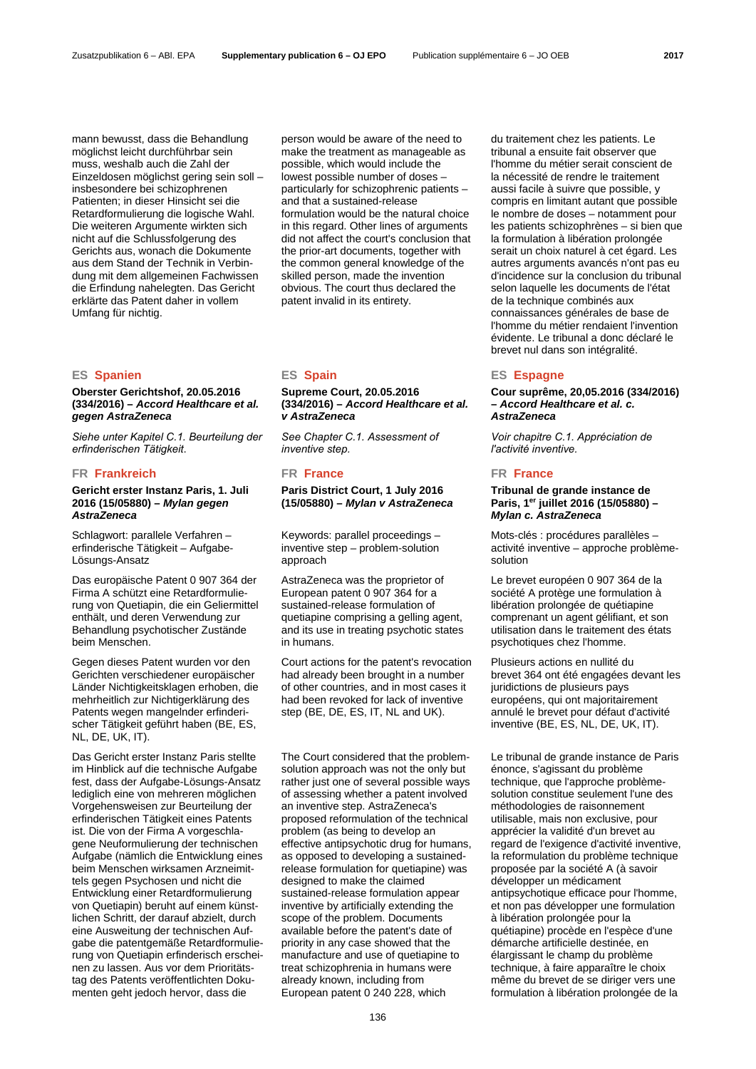mann bewusst, dass die Behandlung möglichst leicht durchführbar sein muss, weshalb auch die Zahl der Einzeldosen möglichst gering sein soll – insbesondere bei schizophrenen Patienten; in dieser Hinsicht sei die Retardformulierung die logische Wahl. Die weiteren Argumente wirkten sich nicht auf die Schlussfolgerung des Gerichts aus, wonach die Dokumente aus dem Stand der Technik in Verbindung mit dem allgemeinen Fachwissen die Erfindung nahelegten. Das Gericht erklärte das Patent daher in vollem Umfang für nichtig.

### **Oberster Gerichtshof, 20.05.2016 (334/2016) –** *Accord Healthcare et al. gegen AstraZeneca*

*Siehe unter Kapitel C.1. Beurteilung der erfinderischen Tätigkeit*.

# **FR Frankreich FR France FR France**

### **Gericht erster Instanz Paris, 1. Juli 2016 (15/05880) –** *Mylan gegen AstraZeneca*

Schlagwort: parallele Verfahren – erfinderische Tätigkeit – Aufgabe-Lösungs-Ansatz

Das europäische Patent 0 907 364 der Firma A schützt eine Retardformulierung von Quetiapin, die ein Geliermittel enthält, und deren Verwendung zur Behandlung psychotischer Zustände beim Menschen.

Gegen dieses Patent wurden vor den Gerichten verschiedener europäischer Länder Nichtigkeitsklagen erhoben, die mehrheitlich zur Nichtigerklärung des Patents wegen mangelnder erfinderischer Tätigkeit geführt haben (BE, ES, NL, DE, UK, IT).

Das Gericht erster Instanz Paris stellte im Hinblick auf die technische Aufgabe fest, dass der Aufgabe-Lösungs-Ansatz lediglich eine von mehreren möglichen Vorgehensweisen zur Beurteilung der erfinderischen Tätigkeit eines Patents ist. Die von der Firma A vorgeschlagene Neuformulierung der technischen Aufgabe (nämlich die Entwicklung eines beim Menschen wirksamen Arzneimittels gegen Psychosen und nicht die Entwicklung einer Retardformulierung von Quetiapin) beruht auf einem künstlichen Schritt, der darauf abzielt, durch eine Ausweitung der technischen Aufgabe die patentgemäße Retardformulierung von Quetiapin erfinderisch erscheinen zu lassen. Aus vor dem Prioritätstag des Patents veröffentlichten Dokumenten geht jedoch hervor, dass die

person would be aware of the need to make the treatment as manageable as possible, which would include the lowest possible number of doses – particularly for schizophrenic patients – and that a sustained-release formulation would be the natural choice in this regard. Other lines of arguments did not affect the court's conclusion that the prior-art documents, together with the common general knowledge of the skilled person, made the invention obvious. The court thus declared the patent invalid in its entirety.

 **Supreme Court, 20.05.2016 (334/2016) –** *Accord Healthcare et al. v AstraZeneca*

 *See Chapter C.1. Assessment of inventive step.*

### **Paris District Court, 1 July 2016 (15/05880) –** *Mylan v AstraZeneca*

 Keywords: parallel proceedings – inventive step – problem-solution approach

AstraZeneca was the proprietor of European patent 0 907 364 for a sustained-release formulation of quetiapine comprising a gelling agent, and its use in treating psychotic states in humans.

 Court actions for the patent's revocation had already been brought in a number of other countries, and in most cases it had been revoked for lack of inventive step (BE, DE, ES, IT, NL and UK).

 The Court considered that the problemsolution approach was not the only but rather just one of several possible ways of assessing whether a patent involved an inventive step. AstraZeneca's proposed reformulation of the technical problem (as being to develop an effective antipsychotic drug for humans, as opposed to developing a sustainedrelease formulation for quetiapine) was designed to make the claimed sustained-release formulation appear inventive by artificially extending the scope of the problem. Documents available before the patent's date of priority in any case showed that the manufacture and use of quetiapine to treat schizophrenia in humans were already known, including from European patent 0 240 228, which

du traitement chez les patients. Le tribunal a ensuite fait observer que l'homme du métier serait conscient de la nécessité de rendre le traitement aussi facile à suivre que possible, y compris en limitant autant que possible le nombre de doses – notamment pour les patients schizophrènes – si bien que la formulation à libération prolongée serait un choix naturel à cet égard. Les autres arguments avancés n'ont pas eu d'incidence sur la conclusion du tribunal selon laquelle les documents de l'état de la technique combinés aux connaissances générales de base de l'homme du métier rendaient l'invention évidente. Le tribunal a donc déclaré le brevet nul dans son intégralité.

# **ES Spanien ES Spain ES Espagne**

### **Cour suprême, 20,05.2016 (334/2016) –** *Accord Healthcare et al. c. AstraZeneca*

 *Voir chapitre C.1. Appréciation de l'activité inventive.*

## **Tribunal de grande instance de Paris, 1er juillet 2016 (15/05880) –**  *Mylan c. AstraZeneca*

 Mots-clés : procédures parallèles – activité inventive – approche problèmesolution

 Le brevet européen 0 907 364 de la société A protège une formulation à libération prolongée de quétiapine comprenant un agent gélifiant, et son utilisation dans le traitement des états psychotiques chez l'homme.

 Plusieurs actions en nullité du brevet 364 ont été engagées devant les juridictions de plusieurs pays européens, qui ont majoritairement annulé le brevet pour défaut d'activité inventive (BE, ES, NL, DE, UK, IT).

 Le tribunal de grande instance de Paris énonce, s'agissant du problème technique, que l'approche problèmesolution constitue seulement l'une des méthodologies de raisonnement utilisable, mais non exclusive, pour apprécier la validité d'un brevet au regard de l'exigence d'activité inventive, la reformulation du problème technique proposée par la société A (à savoir développer un médicament antipsychotique efficace pour l'homme, et non pas développer une formulation à libération prolongée pour la quétiapine) procède en l'espèce d'une démarche artificielle destinée, en élargissant le champ du problème technique, à faire apparaître le choix même du brevet de se diriger vers une formulation à libération prolongée de la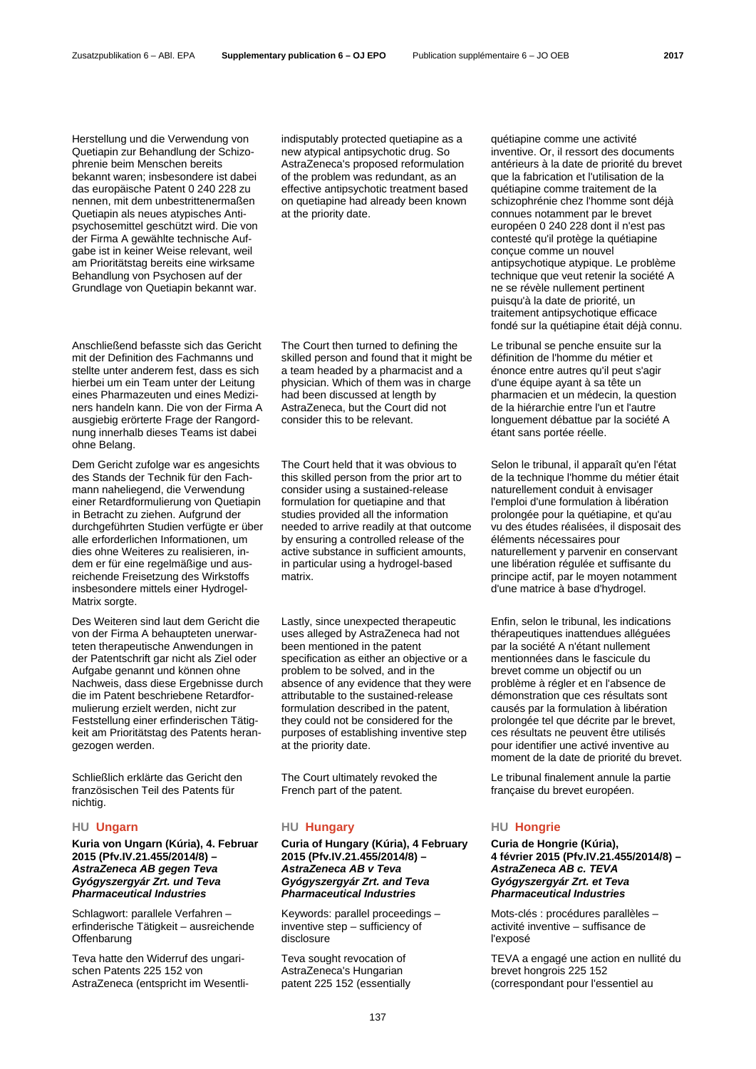Herstellung und die Verwendung von Quetiapin zur Behandlung der Schizophrenie beim Menschen bereits bekannt waren; insbesondere ist dabei das europäische Patent 0 240 228 zu nennen, mit dem unbestrittenermaßen Quetiapin als neues atypisches Antipsychosemittel geschützt wird. Die von der Firma A gewählte technische Aufgabe ist in keiner Weise relevant, weil am Prioritätstag bereits eine wirksame Behandlung von Psychosen auf der Grundlage von Quetiapin bekannt war.

Anschließend befasste sich das Gericht mit der Definition des Fachmanns und stellte unter anderem fest, dass es sich hierbei um ein Team unter der Leitung eines Pharmazeuten und eines Mediziners handeln kann. Die von der Firma A ausgiebig erörterte Frage der Rangordnung innerhalb dieses Teams ist dabei ohne Belang.

Dem Gericht zufolge war es angesichts des Stands der Technik für den Fachmann naheliegend, die Verwendung einer Retardformulierung von Quetiapin in Betracht zu ziehen. Aufgrund der durchgeführten Studien verfügte er über alle erforderlichen Informationen, um dies ohne Weiteres zu realisieren, indem er für eine regelmäßige und ausreichende Freisetzung des Wirkstoffs insbesondere mittels einer Hydrogel-Matrix sorgte.

Des Weiteren sind laut dem Gericht die von der Firma A behaupteten unerwarteten therapeutische Anwendungen in der Patentschrift gar nicht als Ziel oder Aufgabe genannt und können ohne Nachweis, dass diese Ergebnisse durch die im Patent beschriebene Retardformulierung erzielt werden, nicht zur Feststellung einer erfinderischen Tätigkeit am Prioritätstag des Patents herangezogen werden.

Schließlich erklärte das Gericht den französischen Teil des Patents für nichtig.

### **Kuria von Ungarn (Kúria), 4. Februar 2015 (Pfv.IV.21.455/2014/8)** *– AstraZeneca AB gegen Teva Gyógyszergyár Zrt. und Teva Pharmaceutical Industries*

Schlagwort: parallele Verfahren – erfinderische Tätigkeit – ausreichende **Offenbarung** 

Teva hatte den Widerruf des ungarischen Patents 225 152 von AstraZeneca (entspricht im Wesentliindisputably protected quetiapine as a new atypical antipsychotic drug. So AstraZeneca's proposed reformulation of the problem was redundant, as an effective antipsychotic treatment based on quetiapine had already been known at the priority date.

 The Court then turned to defining the skilled person and found that it might be a team headed by a pharmacist and a physician. Which of them was in charge had been discussed at length by AstraZeneca, but the Court did not consider this to be relevant.

 The Court held that it was obvious to this skilled person from the prior art to consider using a sustained-release formulation for quetiapine and that studies provided all the information needed to arrive readily at that outcome by ensuring a controlled release of the active substance in sufficient amounts, in particular using a hydrogel-based matrix.

 Lastly, since unexpected therapeutic uses alleged by AstraZeneca had not been mentioned in the patent specification as either an objective or a problem to be solved, and in the absence of any evidence that they were attributable to the sustained-release formulation described in the patent, they could not be considered for the purposes of establishing inventive step at the priority date.

 The Court ultimately revoked the French part of the patent.

# **HU Ungarn HU Hungary HU Hongrie**

**Curia of Hungary (Kúria), 4 February 2015 (Pfv.IV.21.455/2014/8) –**  *AstraZeneca AB v Teva Gyógyszergyár Zrt. and Teva Pharmaceutical Industries*

 Keywords: parallel proceedings – inventive step – sufficiency of disclosure

 Teva sought revocation of AstraZeneca's Hungarian patent 225 152 (essentially

quétiapine comme une activité inventive. Or, il ressort des documents antérieurs à la date de priorité du brevet que la fabrication et l'utilisation de la quétiapine comme traitement de la schizophrénie chez l'homme sont déjà connues notamment par le brevet européen 0 240 228 dont il n'est pas contesté qu'il protège la quétiapine conçue comme un nouvel antipsychotique atypique. Le problème technique que veut retenir la société A ne se révèle nullement pertinent puisqu'à la date de priorité, un traitement antipsychotique efficace fondé sur la quétiapine était déjà connu.

 Le tribunal se penche ensuite sur la définition de l'homme du métier et énonce entre autres qu'il peut s'agir d'une équipe ayant à sa tête un pharmacien et un médecin, la question de la hiérarchie entre l'un et l'autre longuement débattue par la société A étant sans portée réelle.

 Selon le tribunal, il apparaît qu'en l'état de la technique l'homme du métier était naturellement conduit à envisager l'emploi d'une formulation à libération prolongée pour la quétiapine, et qu'au vu des études réalisées, il disposait des éléments nécessaires pour naturellement y parvenir en conservant une libération régulée et suffisante du principe actif, par le moyen notamment d'une matrice à base d'hydrogel.

 Enfin, selon le tribunal, les indications thérapeutiques inattendues alléguées par la société A n'étant nullement mentionnées dans le fascicule du brevet comme un objectif ou un problème à régler et en l'absence de démonstration que ces résultats sont causés par la formulation à libération prolongée tel que décrite par le brevet, ces résultats ne peuvent être utilisés pour identifier une activé inventive au moment de la date de priorité du brevet.

 Le tribunal finalement annule la partie française du brevet européen.

**Curia de Hongrie (Kúria), 4 février 2015 (Pfv.IV.21.455/2014/8) –** *AstraZeneca AB c. TEVA Gyógyszergyár Zrt. et Teva Pharmaceutical Industries* 

 Mots-clés : procédures parallèles – activité inventive – suffisance de l'exposé

 TEVA a engagé une action en nullité du brevet hongrois 225 152 (correspondant pour l'essentiel au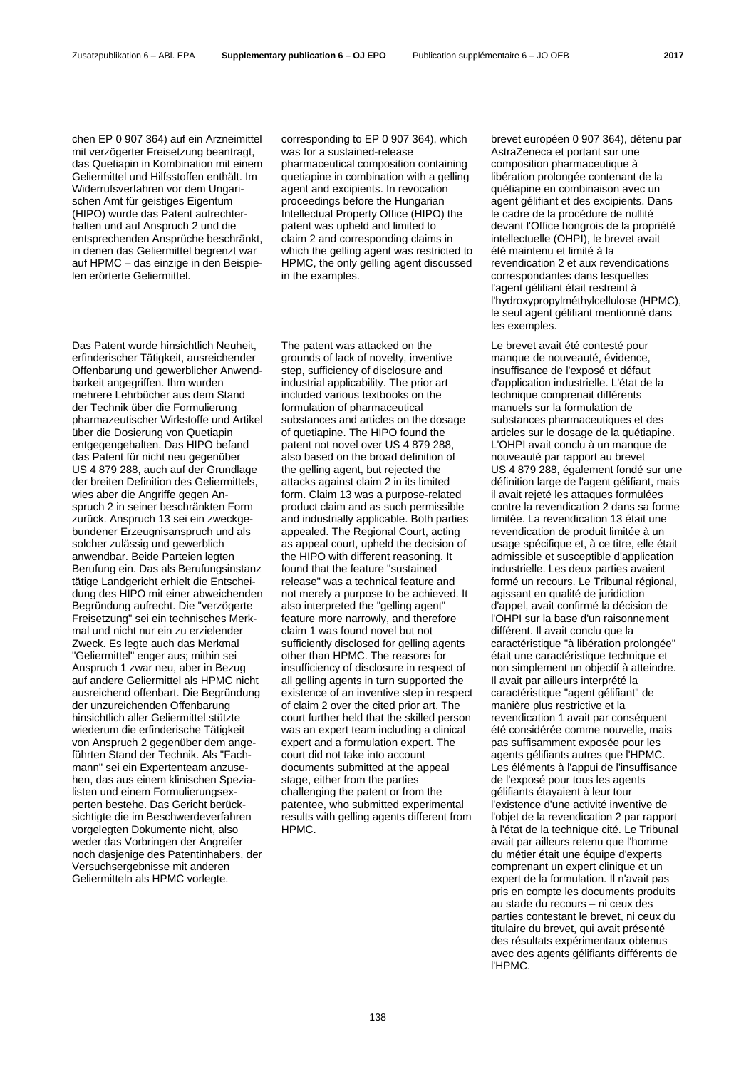chen EP 0 907 364) auf ein Arzneimittel mit verzögerter Freisetzung beantragt, das Quetiapin in Kombination mit einem Geliermittel und Hilfsstoffen enthält. Im Widerrufsverfahren vor dem Ungarischen Amt für geistiges Eigentum (HIPO) wurde das Patent aufrechterhalten und auf Anspruch 2 und die entsprechenden Ansprüche beschränkt, in denen das Geliermittel begrenzt war auf HPMC – das einzige in den Beispielen erörterte Geliermittel.

corresponding to EP 0 907 364), which was for a sustained-release pharmaceutical composition containing quetiapine in combination with a gelling agent and excipients. In revocation proceedings before the Hungarian Intellectual Property Office (HIPO) the patent was upheld and limited to claim 2 and corresponding claims in which the gelling agent was restricted to HPMC, the only gelling agent discussed in the examples.

Das Patent wurde hinsichtlich Neuheit, erfinderischer Tätigkeit, ausreichender Offenbarung und gewerblicher Anwendbarkeit angegriffen. Ihm wurden mehrere Lehrbücher aus dem Stand der Technik über die Formulierung pharmazeutischer Wirkstoffe und Artikel über die Dosierung von Quetiapin entgegengehalten. Das HIPO befand das Patent für nicht neu gegenüber US 4 879 288, auch auf der Grundlage der breiten Definition des Geliermittels, wies aber die Angriffe gegen Anspruch 2 in seiner beschränkten Form zurück. Anspruch 13 sei ein zweckgebundener Erzeugnisanspruch und als solcher zulässig und gewerblich anwendbar. Beide Parteien legten Berufung ein. Das als Berufungsinstanz tätige Landgericht erhielt die Entscheidung des HIPO mit einer abweichenden Begründung aufrecht. Die "verzögerte Freisetzung" sei ein technisches Merkmal und nicht nur ein zu erzielender Zweck. Es legte auch das Merkmal "Geliermittel" enger aus; mithin sei Anspruch 1 zwar neu, aber in Bezug auf andere Geliermittel als HPMC nicht ausreichend offenbart. Die Begründung der unzureichenden Offenbarung hinsichtlich aller Geliermittel stützte wiederum die erfinderische Tätigkeit von Anspruch 2 gegenüber dem angeführten Stand der Technik. Als "Fachmann" sei ein Expertenteam anzusehen, das aus einem klinischen Spezialisten und einem Formulierungsexperten bestehe. Das Gericht berücksichtigte die im Beschwerdeverfahren vorgelegten Dokumente nicht, also weder das Vorbringen der Angreifer noch dasjenige des Patentinhabers, der Versuchsergebnisse mit anderen Geliermitteln als HPMC vorlegte.

 The patent was attacked on the grounds of lack of novelty, inventive step, sufficiency of disclosure and industrial applicability. The prior art included various textbooks on the formulation of pharmaceutical substances and articles on the dosage of quetiapine. The HIPO found the patent not novel over US 4 879 288, also based on the broad definition of the gelling agent, but rejected the attacks against claim 2 in its limited form. Claim 13 was a purpose-related product claim and as such permissible and industrially applicable. Both parties appealed. The Regional Court, acting as appeal court, upheld the decision of the HIPO with different reasoning. It found that the feature "sustained release" was a technical feature and not merely a purpose to be achieved. It also interpreted the "gelling agent" feature more narrowly, and therefore claim 1 was found novel but not sufficiently disclosed for gelling agents other than HPMC. The reasons for insufficiency of disclosure in respect of all gelling agents in turn supported the existence of an inventive step in respect of claim 2 over the cited prior art. The court further held that the skilled person was an expert team including a clinical expert and a formulation expert. The court did not take into account documents submitted at the appeal stage, either from the parties challenging the patent or from the patentee, who submitted experimental results with gelling agents different from HPMC.

brevet européen 0 907 364), détenu par AstraZeneca et portant sur une composition pharmaceutique à libération prolongée contenant de la quétiapine en combinaison avec un agent gélifiant et des excipients. Dans le cadre de la procédure de nullité devant l'Office hongrois de la propriété intellectuelle (OHPI), le brevet avait été maintenu et limité à la revendication 2 et aux revendications correspondantes dans lesquelles l'agent gélifiant était restreint à l'hydroxypropylméthylcellulose (HPMC), le seul agent gélifiant mentionné dans les exemples.

 Le brevet avait été contesté pour manque de nouveauté, évidence, insuffisance de l'exposé et défaut d'application industrielle. L'état de la technique comprenait différents manuels sur la formulation de substances pharmaceutiques et des articles sur le dosage de la quétiapine. L'OHPI avait conclu à un manque de nouveauté par rapport au brevet US 4 879 288, également fondé sur une définition large de l'agent gélifiant, mais il avait rejeté les attaques formulées contre la revendication 2 dans sa forme limitée. La revendication 13 était une revendication de produit limitée à un usage spécifique et, à ce titre, elle était admissible et susceptible d'application industrielle. Les deux parties avaient formé un recours. Le Tribunal régional, agissant en qualité de juridiction d'appel, avait confirmé la décision de l'OHPI sur la base d'un raisonnement différent. Il avait conclu que la caractéristique "à libération prolongée" était une caractéristique technique et non simplement un objectif à atteindre. Il avait par ailleurs interprété la caractéristique "agent gélifiant" de manière plus restrictive et la revendication 1 avait par conséquent été considérée comme nouvelle, mais pas suffisamment exposée pour les agents gélifiants autres que l'HPMC. Les éléments à l'appui de l'insuffisance de l'exposé pour tous les agents gélifiants étayaient à leur tour l'existence d'une activité inventive de l'objet de la revendication 2 par rapport à l'état de la technique cité. Le Tribunal avait par ailleurs retenu que l'homme du métier était une équipe d'experts comprenant un expert clinique et un expert de la formulation. Il n'avait pas pris en compte les documents produits au stade du recours – ni ceux des parties contestant le brevet, ni ceux du titulaire du brevet, qui avait présenté des résultats expérimentaux obtenus avec des agents gélifiants différents de l'HPMC.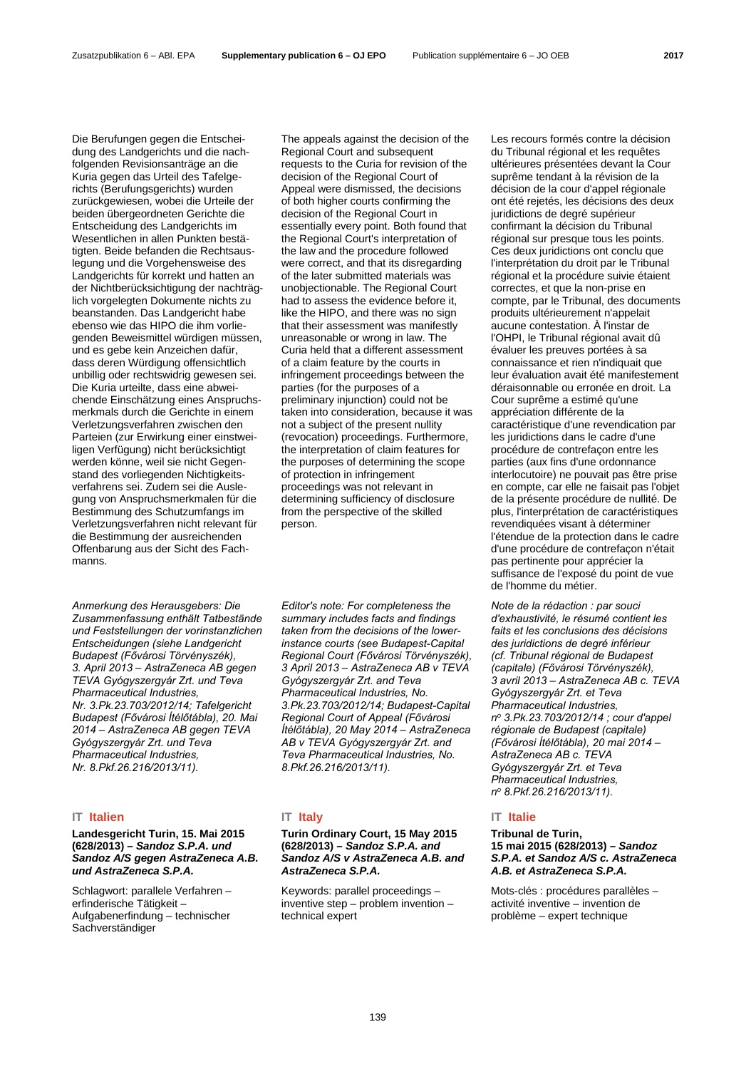Die Berufungen gegen die Entscheidung des Landgerichts und die nachfolgenden Revisionsanträge an die Kuria gegen das Urteil des Tafelgerichts (Berufungsgerichts) wurden zurückgewiesen, wobei die Urteile der beiden übergeordneten Gerichte die Entscheidung des Landgerichts im Wesentlichen in allen Punkten bestätigten. Beide befanden die Rechtsauslegung und die Vorgehensweise des Landgerichts für korrekt und hatten an der Nichtberücksichtigung der nachträglich vorgelegten Dokumente nichts zu beanstanden. Das Landgericht habe ebenso wie das HIPO die ihm vorliegenden Beweismittel würdigen müssen, und es gebe kein Anzeichen dafür, dass deren Würdigung offensichtlich unbillig oder rechtswidrig gewesen sei. Die Kuria urteilte, dass eine abweichende Einschätzung eines Anspruchsmerkmals durch die Gerichte in einem Verletzungsverfahren zwischen den Parteien (zur Erwirkung einer einstweiligen Verfügung) nicht berücksichtigt werden könne, weil sie nicht Gegenstand des vorliegenden Nichtigkeitsverfahrens sei. Zudem sei die Auslegung von Anspruchsmerkmalen für die Bestimmung des Schutzumfangs im Verletzungsverfahren nicht relevant für die Bestimmung der ausreichenden Offenbarung aus der Sicht des Fach-

*Anmerkung des Herausgebers: Die Zusammenfassung enthält Tatbestände und Feststellungen der vorinstanzlichen Entscheidungen (siehe Landgericht Budapest (Fővárosi Törvényszék), 3. April 2013 – AstraZeneca AB gegen TEVA Gyógyszergyár Zrt. und Teva Pharmaceutical Industries, Nr. 3.Pk.23.703/2012/14; Tafelgericht Budapest (Fővárosi Ítélőtábla), 20. Mai 2014 – AstraZeneca AB gegen TEVA Gyógyszergyár Zrt. und Teva Pharmaceutical Industries, Nr. 8.Pkf.26.216/2013/11).*

### **IT Italien IT Italy IT Italie**

manns.

### **Landesgericht Turin, 15. Mai 2015 (628/2013) –** *Sandoz S.P.A. und Sandoz A/S gegen AstraZeneca A.B. und AstraZeneca S.P.A.*

Schlagwort: parallele Verfahren – erfinderische Tätigkeit – Aufgabenerfindung – technischer Sachverständiger

 The appeals against the decision of the Regional Court and subsequent requests to the Curia for revision of the decision of the Regional Court of Appeal were dismissed, the decisions of both higher courts confirming the decision of the Regional Court in essentially every point. Both found that the Regional Court's interpretation of the law and the procedure followed were correct, and that its disregarding of the later submitted materials was unobjectionable. The Regional Court had to assess the evidence before it, like the HIPO, and there was no sign that their assessment was manifestly unreasonable or wrong in law. The Curia held that a different assessment of a claim feature by the courts in infringement proceedings between the parties (for the purposes of a preliminary injunction) could not be taken into consideration, because it was not a subject of the present nullity (revocation) proceedings. Furthermore, the interpretation of claim features for the purposes of determining the scope of protection in infringement proceedings was not relevant in determining sufficiency of disclosure from the perspective of the skilled person.

*Editor's note: For completeness the summary includes facts and findings taken from the decisions of the lowerinstance courts (see Budapest-Capital Regional Court (Fővárosi Törvényszék), 3 April 2013 – AstraZeneca AB v TEVA Gyógyszergyár Zrt. and Teva Pharmaceutical Industries, No. 3.Pk.23.703/2012/14; Budapest-Capital Regional Court of Appeal (Fővárosi Ítélőtábla), 20 May 2014 – AstraZeneca AB v TEVA Gyógyszergyár Zrt. and Teva Pharmaceutical Industries, No. 8.Pkf.26.216/2013/11).*

**Turin Ordinary Court, 15 May 2015 (628/2013) –** *Sandoz S.P.A. and Sandoz A/S v AstraZeneca A.B. and AstraZeneca S.P.A.*

 Keywords: parallel proceedings – inventive step – problem invention – technical expert

 Les recours formés contre la décision du Tribunal régional et les requêtes ultérieures présentées devant la Cour suprême tendant à la révision de la décision de la cour d'appel régionale ont été rejetés, les décisions des deux juridictions de degré supérieur confirmant la décision du Tribunal régional sur presque tous les points. Ces deux juridictions ont conclu que l'interprétation du droit par le Tribunal régional et la procédure suivie étaient correctes, et que la non-prise en compte, par le Tribunal, des documents produits ultérieurement n'appelait aucune contestation. À l'instar de l'OHPI, le Tribunal régional avait dû évaluer les preuves portées à sa connaissance et rien n'indiquait que leur évaluation avait été manifestement déraisonnable ou erronée en droit. La Cour suprême a estimé qu'une appréciation différente de la caractéristique d'une revendication par les juridictions dans le cadre d'une procédure de contrefaçon entre les parties (aux fins d'une ordonnance interlocutoire) ne pouvait pas être prise en compte, car elle ne faisait pas l'objet de la présente procédure de nullité. De plus, l'interprétation de caractéristiques revendiquées visant à déterminer l'étendue de la protection dans le cadre d'une procédure de contrefaçon n'était pas pertinente pour apprécier la suffisance de l'exposé du point de vue de l'homme du métier.

*Note de la rédaction : par souci d'exhaustivité, le résumé contient les faits et les conclusions des décisions des juridictions de degré inférieur (cf. Tribunal régional de Budapest (capitale) (Fővárosi Törvényszék), 3 avril 2013 – AstraZeneca AB c. TEVA Gyógyszergyár Zrt. et Teva Pharmaceutical Industries, no 3.Pk.23.703/2012/14 ; cour d'appel régionale de Budapest (capitale) (Fővárosi Ítélőtábla), 20 mai 2014 – AstraZeneca AB c. TEVA Gyógyszergyár Zrt. et Teva Pharmaceutical Industries, no 8.Pkf.26.216/2013/11).*

### **Tribunal de Turin, 15 mai 2015 (628/2013) –** *Sandoz S.P.A. et Sandoz A/S c. AstraZeneca A.B. et AstraZeneca S.P.A.*

 Mots-clés : procédures parallèles – activité inventive – invention de problème – expert technique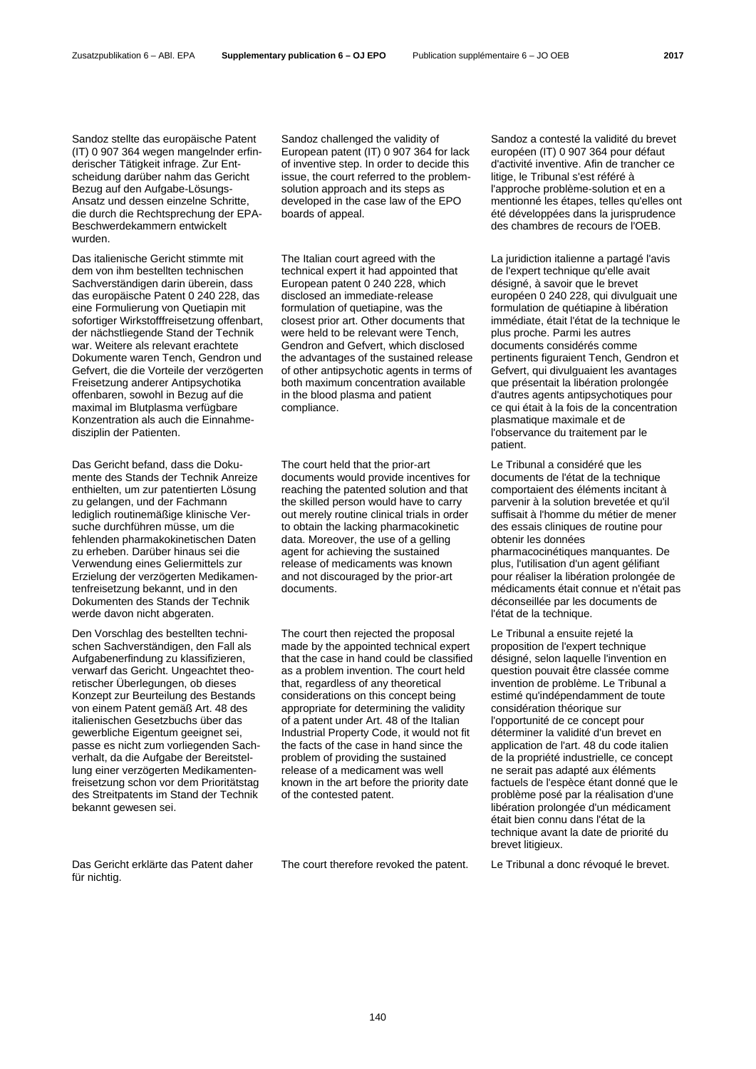Sandoz stellte das europäische Patent (IT) 0 907 364 wegen mangelnder erfinderischer Tätigkeit infrage. Zur Entscheidung darüber nahm das Gericht Bezug auf den Aufgabe-Lösungs-Ansatz und dessen einzelne Schritte, die durch die Rechtsprechung der EPA-Beschwerdekammern entwickelt wurden.

Das italienische Gericht stimmte mit dem von ihm bestellten technischen Sachverständigen darin überein, dass das europäische Patent 0 240 228, das eine Formulierung von Quetiapin mit sofortiger Wirkstofffreisetzung offenbart, der nächstliegende Stand der Technik war. Weitere als relevant erachtete Dokumente waren Tench, Gendron und Gefvert, die die Vorteile der verzögerten Freisetzung anderer Antipsychotika offenbaren, sowohl in Bezug auf die maximal im Blutplasma verfügbare Konzentration als auch die Einnahmedisziplin der Patienten.

Das Gericht befand, dass die Dokumente des Stands der Technik Anreize enthielten, um zur patentierten Lösung zu gelangen, und der Fachmann lediglich routinemäßige klinische Versuche durchführen müsse, um die fehlenden pharmakokinetischen Daten zu erheben. Darüber hinaus sei die Verwendung eines Geliermittels zur Erzielung der verzögerten Medikamentenfreisetzung bekannt, und in den Dokumenten des Stands der Technik werde davon nicht abgeraten.

Den Vorschlag des bestellten technischen Sachverständigen, den Fall als Aufgabenerfindung zu klassifizieren, verwarf das Gericht. Ungeachtet theoretischer Überlegungen, ob dieses Konzept zur Beurteilung des Bestands von einem Patent gemäß Art. 48 des italienischen Gesetzbuchs über das gewerbliche Eigentum geeignet sei, passe es nicht zum vorliegenden Sachverhalt, da die Aufgabe der Bereitstellung einer verzögerten Medikamentenfreisetzung schon vor dem Prioritätstag des Streitpatents im Stand der Technik bekannt gewesen sei.

Das Gericht erklärte das Patent daher für nichtig.

 Sandoz challenged the validity of European patent (IT) 0 907 364 for lack of inventive step. In order to decide this issue, the court referred to the problemsolution approach and its steps as developed in the case law of the EPO boards of appeal.

 The Italian court agreed with the technical expert it had appointed that European patent 0 240 228, which disclosed an immediate-release formulation of quetiapine, was the closest prior art. Other documents that were held to be relevant were Tench, Gendron and Gefvert, which disclosed the advantages of the sustained release of other antipsychotic agents in terms of both maximum concentration available in the blood plasma and patient compliance.

 The court held that the prior-art documents would provide incentives for reaching the patented solution and that the skilled person would have to carry out merely routine clinical trials in order to obtain the lacking pharmacokinetic data. Moreover, the use of a gelling agent for achieving the sustained release of medicaments was known and not discouraged by the prior-art documents.

 The court then rejected the proposal made by the appointed technical expert that the case in hand could be classified as a problem invention. The court held that, regardless of any theoretical considerations on this concept being appropriate for determining the validity of a patent under Art. 48 of the Italian Industrial Property Code, it would not fit the facts of the case in hand since the problem of providing the sustained release of a medicament was well known in the art before the priority date of the contested patent.

The court therefore revoked the patent. Le Tribunal a donc révoqué le brevet.

 Sandoz a contesté la validité du brevet européen (IT) 0 907 364 pour défaut d'activité inventive. Afin de trancher ce litige, le Tribunal s'est référé à l'approche problème-solution et en a mentionné les étapes, telles qu'elles ont été développées dans la jurisprudence des chambres de recours de l'OEB.

 La juridiction italienne a partagé l'avis de l'expert technique qu'elle avait désigné, à savoir que le brevet européen 0 240 228, qui divulguait une formulation de quétiapine à libération immédiate, était l'état de la technique le plus proche. Parmi les autres documents considérés comme pertinents figuraient Tench, Gendron et Gefvert, qui divulguaient les avantages que présentait la libération prolongée d'autres agents antipsychotiques pour ce qui était à la fois de la concentration plasmatique maximale et de l'observance du traitement par le patient.

 Le Tribunal a considéré que les documents de l'état de la technique comportaient des éléments incitant à parvenir à la solution brevetée et qu'il suffisait à l'homme du métier de mener des essais cliniques de routine pour obtenir les données pharmacocinétiques manquantes. De plus, l'utilisation d'un agent gélifiant pour réaliser la libération prolongée de médicaments était connue et n'était pas déconseillée par les documents de l'état de la technique.

 Le Tribunal a ensuite rejeté la proposition de l'expert technique désigné, selon laquelle l'invention en question pouvait être classée comme invention de problème. Le Tribunal a estimé qu'indépendamment de toute considération théorique sur l'opportunité de ce concept pour déterminer la validité d'un brevet en application de l'art. 48 du code italien de la propriété industrielle, ce concept ne serait pas adapté aux éléments factuels de l'espèce étant donné que le problème posé par la réalisation d'une libération prolongée d'un médicament était bien connu dans l'état de la technique avant la date de priorité du brevet litigieux.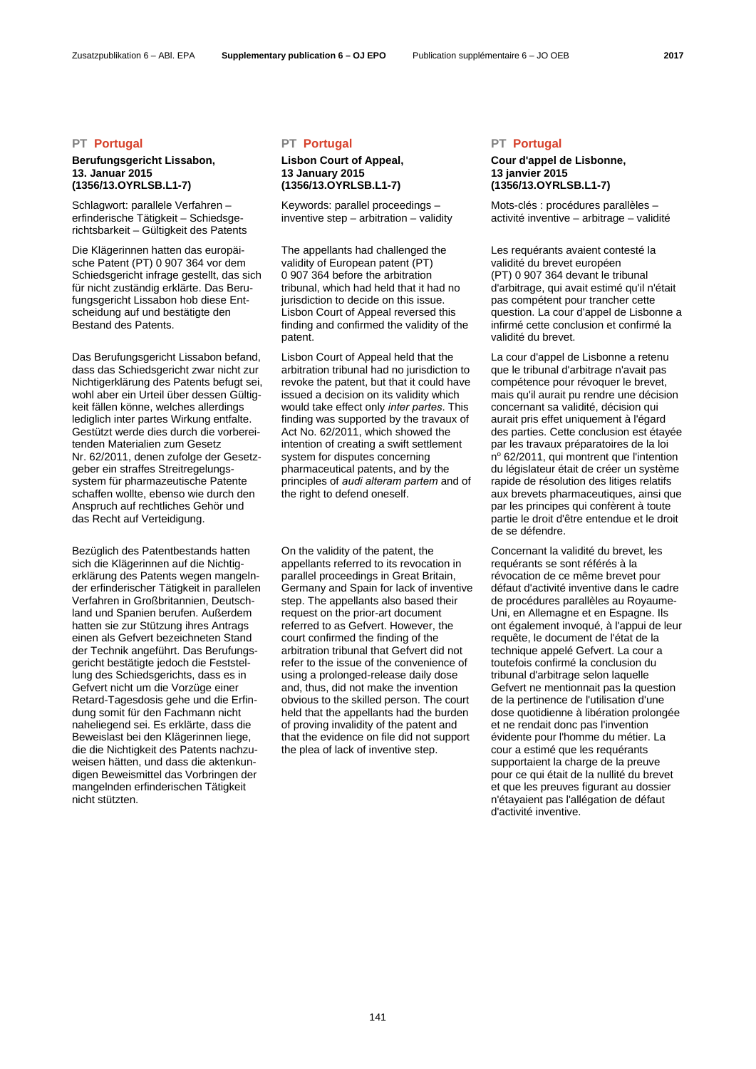### Zusatzpublikation 6 – ABl. EPA **Supplementary publication 6 – OJ EPO** Publication supplémentaire 6 – JO OEB **2017**

# **PT Portugal PT Portugal PT Portugal**

# **Berufungsgericht Lissabon, 13. Januar 2015 (1356/13.OYRLSB.L1-7)**

Schlagwort: parallele Verfahren – erfinderische Tätigkeit – Schiedsgerichtsbarkeit – Gültigkeit des Patents

Die Klägerinnen hatten das europäische Patent (PT) 0 907 364 vor dem Schiedsgericht infrage gestellt, das sich für nicht zuständig erklärte. Das Berufungsgericht Lissabon hob diese Entscheidung auf und bestätigte den Bestand des Patents.

Das Berufungsgericht Lissabon befand, dass das Schiedsgericht zwar nicht zur Nichtigerklärung des Patents befugt sei, wohl aber ein Urteil über dessen Gültigkeit fällen könne, welches allerdings lediglich inter partes Wirkung entfalte. Gestützt werde dies durch die vorbereitenden Materialien zum Gesetz Nr. 62/2011, denen zufolge der Gesetzgeber ein straffes Streitregelungssystem für pharmazeutische Patente schaffen wollte, ebenso wie durch den Anspruch auf rechtliches Gehör und das Recht auf Verteidigung.

Bezüglich des Patentbestands hatten sich die Klägerinnen auf die Nichtigerklärung des Patents wegen mangelnder erfinderischer Tätigkeit in parallelen Verfahren in Großbritannien, Deutschland und Spanien berufen. Außerdem hatten sie zur Stützung ihres Antrags einen als Gefvert bezeichneten Stand der Technik angeführt. Das Berufungsgericht bestätigte jedoch die Feststellung des Schiedsgerichts, dass es in Gefvert nicht um die Vorzüge einer Retard-Tagesdosis gehe und die Erfindung somit für den Fachmann nicht naheliegend sei. Es erklärte, dass die Beweislast bei den Klägerinnen liege, die die Nichtigkeit des Patents nachzuweisen hätten, und dass die aktenkundigen Beweismittel das Vorbringen der mangelnden erfinderischen Tätigkeit nicht stützten.

## **Lisbon Court of Appeal, 13 January 2015 (1356/13.OYRLSB.L1-7)**

 Keywords: parallel proceedings – inventive step – arbitration – validity

 The appellants had challenged the validity of European patent (PT) 0 907 364 before the arbitration tribunal, which had held that it had no jurisdiction to decide on this issue. Lisbon Court of Appeal reversed this finding and confirmed the validity of the patent.

 Lisbon Court of Appeal held that the arbitration tribunal had no jurisdiction to revoke the patent, but that it could have issued a decision on its validity which would take effect only *inter partes*. This finding was supported by the travaux of Act No. 62/2011, which showed the intention of creating a swift settlement system for disputes concerning pharmaceutical patents, and by the principles of *audi alteram partem* and of the right to defend oneself.

 On the validity of the patent, the appellants referred to its revocation in parallel proceedings in Great Britain, Germany and Spain for lack of inventive step. The appellants also based their request on the prior-art document referred to as Gefvert. However, the court confirmed the finding of the arbitration tribunal that Gefvert did not refer to the issue of the convenience of using a prolonged-release daily dose and, thus, did not make the invention obvious to the skilled person. The court held that the appellants had the burden of proving invalidity of the patent and that the evidence on file did not support the plea of lack of inventive step.

### **Cour d'appel de Lisbonne, 13 janvier 2015 (1356/13.OYRLSB.L1-7)**

 Mots-clés : procédures parallèles – activité inventive – arbitrage – validité

 Les requérants avaient contesté la validité du brevet européen (PT) 0 907 364 devant le tribunal d'arbitrage, qui avait estimé qu'il n'était pas compétent pour trancher cette question. La cour d'appel de Lisbonne a infirmé cette conclusion et confirmé la validité du brevet.

 La cour d'appel de Lisbonne a retenu que le tribunal d'arbitrage n'avait pas compétence pour révoquer le brevet, mais qu'il aurait pu rendre une décision concernant sa validité, décision qui aurait pris effet uniquement à l'égard des parties. Cette conclusion est étayée par les travaux préparatoires de la loi nº 62/2011, qui montrent que l'intention du législateur était de créer un système rapide de résolution des litiges relatifs aux brevets pharmaceutiques, ainsi que par les principes qui confèrent à toute partie le droit d'être entendue et le droit de se défendre.

 Concernant la validité du brevet, les requérants se sont référés à la révocation de ce même brevet pour défaut d'activité inventive dans le cadre de procédures parallèles au Royaume-Uni, en Allemagne et en Espagne. Ils ont également invoqué, à l'appui de leur requête, le document de l'état de la technique appelé Gefvert. La cour a toutefois confirmé la conclusion du tribunal d'arbitrage selon laquelle Gefvert ne mentionnait pas la question de la pertinence de l'utilisation d'une dose quotidienne à libération prolongée et ne rendait donc pas l'invention évidente pour l'homme du métier. La cour a estimé que les requérants supportaient la charge de la preuve pour ce qui était de la nullité du brevet et que les preuves figurant au dossier n'étayaient pas l'allégation de défaut d'activité inventive.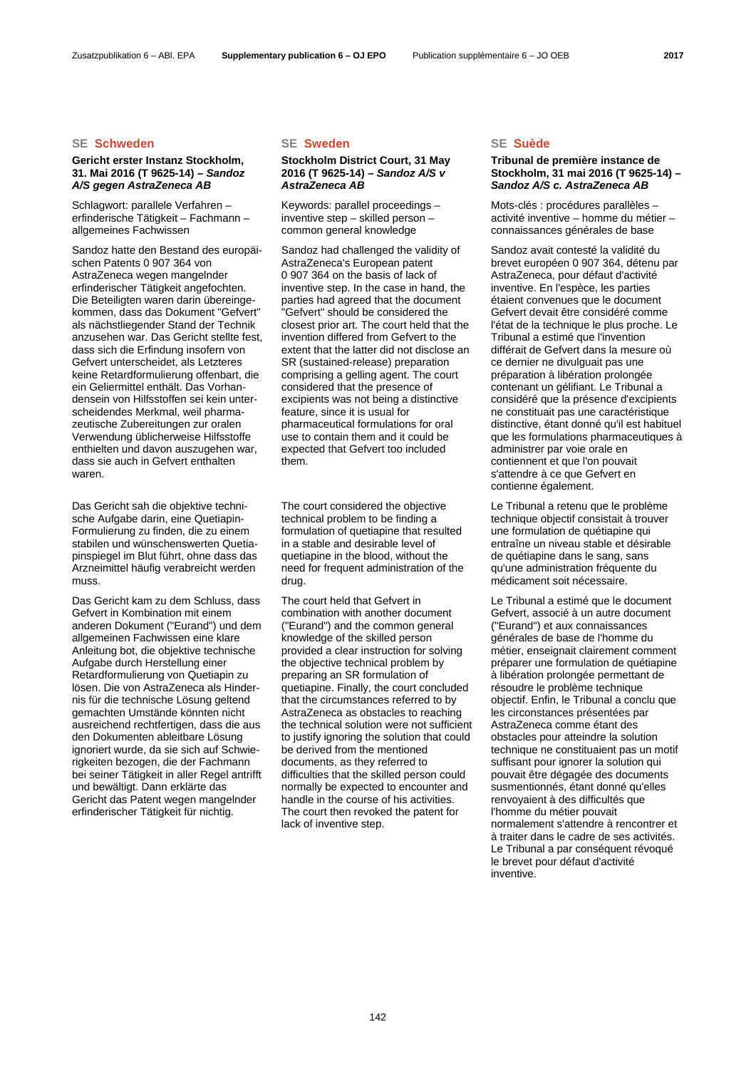### Zusatzpublikation 6 – ABl. EPA **Supplementary publication 6 – OJ EPO** Publication supplémentaire 6 – JO OEB **2017**

### **SE Schweden SE Sweden SE Suède**

## **Gericht erster Instanz Stockholm, 31. Mai 2016 (T 9625-14) –** *Sandoz A/S gegen AstraZeneca AB*

Schlagwort: parallele Verfahren – erfinderische Tätigkeit – Fachmann – allgemeines Fachwissen

Sandoz hatte den Bestand des europäischen Patents 0 907 364 von AstraZeneca wegen mangelnder erfinderischer Tätigkeit angefochten. Die Beteiligten waren darin übereingekommen, dass das Dokument "Gefvert" als nächstliegender Stand der Technik anzusehen war. Das Gericht stellte fest, dass sich die Erfindung insofern von Gefvert unterscheidet, als Letzteres keine Retardformulierung offenbart, die ein Geliermittel enthält. Das Vorhandensein von Hilfsstoffen sei kein unterscheidendes Merkmal, weil pharmazeutische Zubereitungen zur oralen Verwendung üblicherweise Hilfsstoffe enthielten und davon auszugehen war, dass sie auch in Gefvert enthalten waren.

Das Gericht sah die objektive technische Aufgabe darin, eine Quetiapin-Formulierung zu finden, die zu einem stabilen und wünschenswerten Quetiapinspiegel im Blut führt, ohne dass das Arzneimittel häufig verabreicht werden muss.

Das Gericht kam zu dem Schluss, dass Gefvert in Kombination mit einem anderen Dokument ("Eurand") und dem allgemeinen Fachwissen eine klare Anleitung bot, die objektive technische Aufgabe durch Herstellung einer Retardformulierung von Quetiapin zu lösen. Die von AstraZeneca als Hindernis für die technische Lösung geltend gemachten Umstände könnten nicht ausreichend rechtfertigen, dass die aus den Dokumenten ableitbare Lösung ignoriert wurde, da sie sich auf Schwierigkeiten bezogen, die der Fachmann bei seiner Tätigkeit in aller Regel antrifft und bewältigt. Dann erklärte das Gericht das Patent wegen mangelnder erfinderischer Tätigkeit für nichtig.

### **Stockholm District Court, 31 May 2016 (T 9625-14) –** *Sandoz A/S v AstraZeneca AB*

 Keywords: parallel proceedings – inventive step – skilled person – common general knowledge

 Sandoz had challenged the validity of AstraZeneca's European patent 0 907 364 on the basis of lack of inventive step. In the case in hand, the parties had agreed that the document "Gefvert" should be considered the closest prior art. The court held that the invention differed from Gefvert to the extent that the latter did not disclose an SR (sustained-release) preparation comprising a gelling agent. The court considered that the presence of excipients was not being a distinctive feature, since it is usual for pharmaceutical formulations for oral use to contain them and it could be expected that Gefvert too included them.

 The court considered the objective technical problem to be finding a formulation of quetiapine that resulted in a stable and desirable level of quetiapine in the blood, without the need for frequent administration of the drug.

 The court held that Gefvert in combination with another document ("Eurand") and the common general knowledge of the skilled person provided a clear instruction for solving the objective technical problem by preparing an SR formulation of quetiapine. Finally, the court concluded that the circumstances referred to by AstraZeneca as obstacles to reaching the technical solution were not sufficient to justify ignoring the solution that could be derived from the mentioned documents, as they referred to difficulties that the skilled person could normally be expected to encounter and handle in the course of his activities. The court then revoked the patent for lack of inventive step.

### **Tribunal de première instance de Stockholm, 31 mai 2016 (T 9625-14) –** *Sandoz A/S c. AstraZeneca AB*

 Mots-clés : procédures parallèles – activité inventive – homme du métier – connaissances générales de base

 Sandoz avait contesté la validité du brevet européen 0 907 364, détenu par AstraZeneca, pour défaut d'activité inventive. En l'espèce, les parties étaient convenues que le document Gefvert devait être considéré comme l'état de la technique le plus proche. Le Tribunal a estimé que l'invention différait de Gefvert dans la mesure où ce dernier ne divulguait pas une préparation à libération prolongée contenant un gélifiant. Le Tribunal a considéré que la présence d'excipients ne constituait pas une caractéristique distinctive, étant donné qu'il est habituel que les formulations pharmaceutiques à administrer par voie orale en contiennent et que l'on pouvait s'attendre à ce que Gefvert en contienne également.

 Le Tribunal a retenu que le problème technique objectif consistait à trouver une formulation de quétiapine qui entraîne un niveau stable et désirable de quétiapine dans le sang, sans qu'une administration fréquente du médicament soit nécessaire.

 Le Tribunal a estimé que le document Gefvert, associé à un autre document ("Eurand") et aux connaissances générales de base de l'homme du métier, enseignait clairement comment préparer une formulation de quétiapine à libération prolongée permettant de résoudre le problème technique objectif. Enfin, le Tribunal a conclu que les circonstances présentées par AstraZeneca comme étant des obstacles pour atteindre la solution technique ne constituaient pas un motif suffisant pour ignorer la solution qui pouvait être dégagée des documents susmentionnés, étant donné qu'elles renvoyaient à des difficultés que l'homme du métier pouvait normalement s'attendre à rencontrer et à traiter dans le cadre de ses activités. Le Tribunal a par conséquent révoqué le brevet pour défaut d'activité inventive.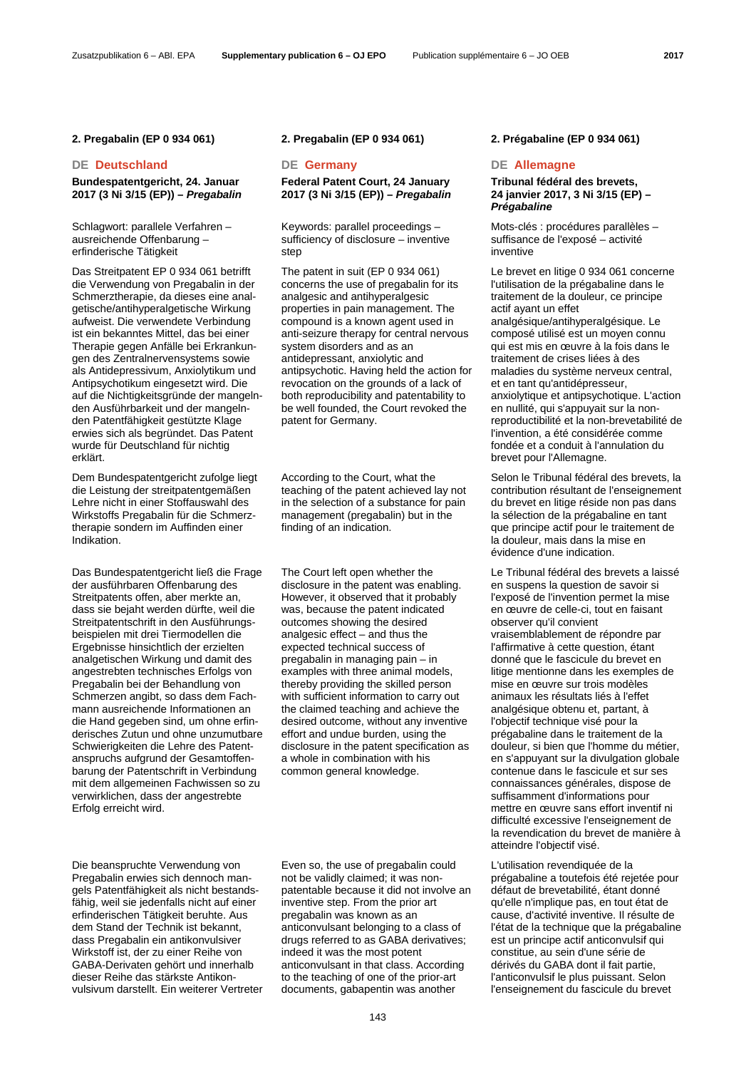### **2. Pregabalin (EP 0 934 061) 2. Pregabalin (EP 0 934 061) 2. Prégabaline (EP 0 934 061)**

### **DE Deutschland DE Germany DE Allemagne**

**Bundespatentgericht, 24. Januar 2017 (3 Ni 3/15 (EP)) –** *Pregabalin*

Schlagwort: parallele Verfahren – ausreichende Offenbarung – erfinderische Tätigkeit

Das Streitpatent EP 0 934 061 betrifft die Verwendung von Pregabalin in der Schmerztherapie, da dieses eine analgetische/antihyperalgetische Wirkung aufweist. Die verwendete Verbindung ist ein bekanntes Mittel, das bei einer Therapie gegen Anfälle bei Erkrankungen des Zentralnervensystems sowie als Antidepressivum, Anxiolytikum und Antipsychotikum eingesetzt wird. Die auf die Nichtigkeitsgründe der mangelnden Ausführbarkeit und der mangelnden Patentfähigkeit gestützte Klage erwies sich als begründet. Das Patent wurde für Deutschland für nichtig erklärt.

Dem Bundespatentgericht zufolge liegt die Leistung der streitpatentgemäßen Lehre nicht in einer Stoffauswahl des Wirkstoffs Pregabalin für die Schmerztherapie sondern im Auffinden einer Indikation.

Das Bundespatentgericht ließ die Frage der ausführbaren Offenbarung des Streitpatents offen, aber merkte an, dass sie bejaht werden dürfte, weil die Streitpatentschrift in den Ausführungsbeispielen mit drei Tiermodellen die Ergebnisse hinsichtlich der erzielten analgetischen Wirkung und damit des angestrebten technisches Erfolgs von Pregabalin bei der Behandlung von Schmerzen angibt, so dass dem Fachmann ausreichende Informationen an die Hand gegeben sind, um ohne erfinderisches Zutun und ohne unzumutbare Schwierigkeiten die Lehre des Patentanspruchs aufgrund der Gesamtoffenbarung der Patentschrift in Verbindung mit dem allgemeinen Fachwissen so zu verwirklichen, dass der angestrebte Erfolg erreicht wird.

Die beanspruchte Verwendung von Pregabalin erwies sich dennoch mangels Patentfähigkeit als nicht bestandsfähig, weil sie jedenfalls nicht auf einer erfinderischen Tätigkeit beruhte. Aus dem Stand der Technik ist bekannt, dass Pregabalin ein antikonvulsiver Wirkstoff ist, der zu einer Reihe von GABA-Derivaten gehört und innerhalb dieser Reihe das stärkste Antikonvulsivum darstellt. Ein weiterer Vertreter

# **Federal Patent Court, 24 January 2017 (3 Ni 3/15 (EP)) –** *Pregabalin*

 Keywords: parallel proceedings – sufficiency of disclosure – inventive step

 The patent in suit (EP 0 934 061) concerns the use of pregabalin for its analgesic and antihyperalgesic properties in pain management. The compound is a known agent used in anti-seizure therapy for central nervous system disorders and as an antidepressant, anxiolytic and antipsychotic. Having held the action for revocation on the grounds of a lack of both reproducibility and patentability to be well founded, the Court revoked the patent for Germany.

According to the Court, what the teaching of the patent achieved lay not in the selection of a substance for pain management (pregabalin) but in the finding of an indication.

 The Court left open whether the disclosure in the patent was enabling. However, it observed that it probably was, because the patent indicated outcomes showing the desired analgesic effect – and thus the expected technical success of pregabalin in managing pain – in examples with three animal models, thereby providing the skilled person with sufficient information to carry out the claimed teaching and achieve the desired outcome, without any inventive effort and undue burden, using the disclosure in the patent specification as a whole in combination with his common general knowledge.

 Even so, the use of pregabalin could not be validly claimed; it was nonpatentable because it did not involve an inventive step. From the prior art pregabalin was known as an anticonvulsant belonging to a class of drugs referred to as GABA derivatives; indeed it was the most potent anticonvulsant in that class. According to the teaching of one of the prior-art documents, gabapentin was another

# **Tribunal fédéral des brevets, 24 janvier 2017, 3 Ni 3/15 (EP) –**  *Prégabaline*

 Mots-clés : procédures parallèles – suffisance de l'exposé – activité inventive

 Le brevet en litige 0 934 061 concerne l'utilisation de la prégabaline dans le traitement de la douleur, ce principe actif ayant un effet analgésique/antihyperalgésique. Le composé utilisé est un moyen connu qui est mis en œuvre à la fois dans le traitement de crises liées à des maladies du système nerveux central, et en tant qu'antidépresseur, anxiolytique et antipsychotique. L'action en nullité, qui s'appuyait sur la nonreproductibilité et la non-brevetabilité de l'invention, a été considérée comme fondée et a conduit à l'annulation du brevet pour l'Allemagne.

 Selon le Tribunal fédéral des brevets, la contribution résultant de l'enseignement du brevet en litige réside non pas dans la sélection de la prégabaline en tant que principe actif pour le traitement de la douleur, mais dans la mise en évidence d'une indication.

 Le Tribunal fédéral des brevets a laissé en suspens la question de savoir si l'exposé de l'invention permet la mise en œuvre de celle-ci, tout en faisant observer qu'il convient vraisemblablement de répondre par l'affirmative à cette question, étant donné que le fascicule du brevet en litige mentionne dans les exemples de mise en œuvre sur trois modèles animaux les résultats liés à l'effet analgésique obtenu et, partant, à l'objectif technique visé pour la prégabaline dans le traitement de la douleur, si bien que l'homme du métier, en s'appuyant sur la divulgation globale contenue dans le fascicule et sur ses connaissances générales, dispose de suffisamment d'informations pour mettre en œuvre sans effort inventif ni difficulté excessive l'enseignement de la revendication du brevet de manière à atteindre l'objectif visé.

 L'utilisation revendiquée de la prégabaline a toutefois été rejetée pour défaut de brevetabilité, étant donné qu'elle n'implique pas, en tout état de cause, d'activité inventive. Il résulte de l'état de la technique que la prégabaline est un principe actif anticonvulsif qui constitue, au sein d'une série de dérivés du GABA dont il fait partie, l'anticonvulsif le plus puissant. Selon l'enseignement du fascicule du brevet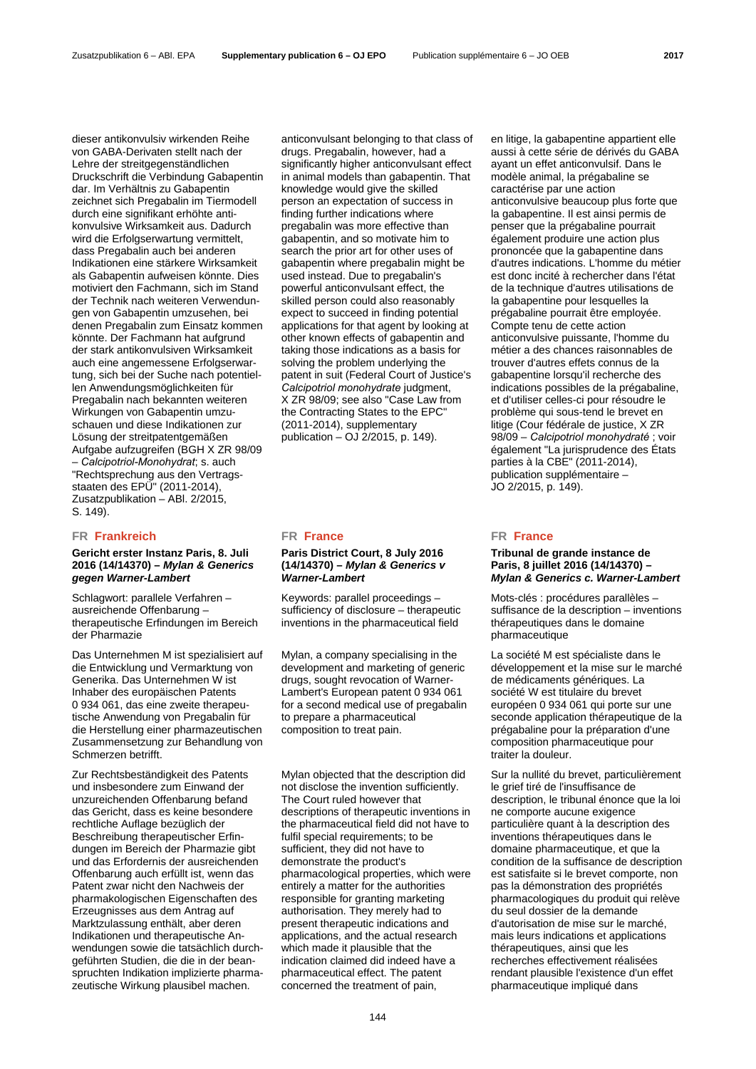dieser antikonvulsiv wirkenden Reihe von GABA-Derivaten stellt nach der Lehre der streitgegenständlichen Druckschrift die Verbindung Gabapentin dar. Im Verhältnis zu Gabapentin zeichnet sich Pregabalin im Tiermodell durch eine signifikant erhöhte antikonvulsive Wirksamkeit aus. Dadurch wird die Erfolgserwartung vermittelt, dass Pregabalin auch bei anderen Indikationen eine stärkere Wirksamkeit als Gabapentin aufweisen könnte. Dies motiviert den Fachmann, sich im Stand der Technik nach weiteren Verwendungen von Gabapentin umzusehen, bei denen Pregabalin zum Einsatz kommen könnte. Der Fachmann hat aufgrund der stark antikonvulsiven Wirksamkeit auch eine angemessene Erfolgserwartung, sich bei der Suche nach potentiellen Anwendungsmöglichkeiten für Pregabalin nach bekannten weiteren Wirkungen von Gabapentin umzuschauen und diese Indikationen zur Lösung der streitpatentgemäßen Aufgabe aufzugreifen (BGH X ZR 98/09 – *Calcipotriol-Monohydrat*; s. auch "Rechtsprechung aus den Vertragsstaaten des EPÜ" (2011-2014), Zusatzpublikation – ABl. 2/2015, S. 149).

### **FR Frankreich FR France FR France**

## **Gericht erster Instanz Paris, 8. Juli 2016 (14/14370) –** *Mylan & Generics gegen Warner-Lambert*

Schlagwort: parallele Verfahren – ausreichende Offenbarung – therapeutische Erfindungen im Bereich der Pharmazie

Das Unternehmen M ist spezialisiert auf die Entwicklung und Vermarktung von Generika. Das Unternehmen W ist Inhaber des europäischen Patents 0 934 061, das eine zweite therapeutische Anwendung von Pregabalin für die Herstellung einer pharmazeutischen Zusammensetzung zur Behandlung von Schmerzen betrifft.

Zur Rechtsbeständigkeit des Patents und insbesondere zum Einwand der unzureichenden Offenbarung befand das Gericht, dass es keine besondere rechtliche Auflage bezüglich der Beschreibung therapeutischer Erfindungen im Bereich der Pharmazie gibt und das Erfordernis der ausreichenden Offenbarung auch erfüllt ist, wenn das Patent zwar nicht den Nachweis der pharmakologischen Eigenschaften des Erzeugnisses aus dem Antrag auf Marktzulassung enthält, aber deren Indikationen und therapeutische Anwendungen sowie die tatsächlich durchgeführten Studien, die die in der beanspruchten Indikation implizierte pharmazeutische Wirkung plausibel machen.

anticonvulsant belonging to that class of drugs. Pregabalin, however, had a significantly higher anticonvulsant effect in animal models than gabapentin. That knowledge would give the skilled person an expectation of success in finding further indications where pregabalin was more effective than gabapentin, and so motivate him to search the prior art for other uses of gabapentin where pregabalin might be used instead. Due to pregabalin's powerful anticonvulsant effect, the skilled person could also reasonably expect to succeed in finding potential applications for that agent by looking at other known effects of gabapentin and taking those indications as a basis for solving the problem underlying the patent in suit (Federal Court of Justice's *Calcipotriol monohydrate* judgment, X ZR 98/09; see also "Case Law from the Contracting States to the EPC" (2011-2014), supplementary publication – OJ 2/2015, p. 149).

### **Paris District Court, 8 July 2016 (14/14370) –** *Mylan & Generics v Warner-Lambert*

 Keywords: parallel proceedings – sufficiency of disclosure – therapeutic inventions in the pharmaceutical field

 Mylan, a company specialising in the development and marketing of generic drugs, sought revocation of Warner-Lambert's European patent 0 934 061 for a second medical use of pregabalin to prepare a pharmaceutical composition to treat pain.

 Mylan objected that the description did not disclose the invention sufficiently. The Court ruled however that descriptions of therapeutic inventions in the pharmaceutical field did not have to fulfil special requirements; to be sufficient, they did not have to demonstrate the product's pharmacological properties, which were entirely a matter for the authorities responsible for granting marketing authorisation. They merely had to present therapeutic indications and applications, and the actual research which made it plausible that the indication claimed did indeed have a pharmaceutical effect. The patent concerned the treatment of pain,

en litige, la gabapentine appartient elle aussi à cette série de dérivés du GABA ayant un effet anticonvulsif. Dans le modèle animal, la prégabaline se caractérise par une action anticonvulsive beaucoup plus forte que la gabapentine. Il est ainsi permis de penser que la prégabaline pourrait également produire une action plus prononcée que la gabapentine dans d'autres indications. L'homme du métier est donc incité à rechercher dans l'état de la technique d'autres utilisations de la gabapentine pour lesquelles la prégabaline pourrait être employée. Compte tenu de cette action anticonvulsive puissante, l'homme du métier a des chances raisonnables de trouver d'autres effets connus de la gabapentine lorsqu'il recherche des indications possibles de la prégabaline, et d'utiliser celles-ci pour résoudre le problème qui sous-tend le brevet en litige (Cour fédérale de justice, X ZR 98/09 – *Calcipotriol monohydraté* ; voir également "La jurisprudence des États parties à la CBE" (2011-2014), publication supplémentaire – JO 2/2015, p*.* 149).

### **Tribunal de grande instance de Paris, 8 juillet 2016 (14/14370) –**  *Mylan & Generics c. Warner-Lambert*

 Mots-clés : procédures parallèles – suffisance de la description – inventions thérapeutiques dans le domaine pharmaceutique

 La société M est spécialiste dans le développement et la mise sur le marché de médicaments génériques. La société W est titulaire du brevet européen 0 934 061 qui porte sur une seconde application thérapeutique de la prégabaline pour la préparation d'une composition pharmaceutique pour traiter la douleur.

 Sur la nullité du brevet, particulièrement le grief tiré de l'insuffisance de description, le tribunal énonce que la loi ne comporte aucune exigence particulière quant à la description des inventions thérapeutiques dans le domaine pharmaceutique, et que la condition de la suffisance de description est satisfaite si le brevet comporte, non pas la démonstration des propriétés pharmacologiques du produit qui relève du seul dossier de la demande d'autorisation de mise sur le marché, mais leurs indications et applications thérapeutiques, ainsi que les recherches effectivement réalisées rendant plausible l'existence d'un effet pharmaceutique impliqué dans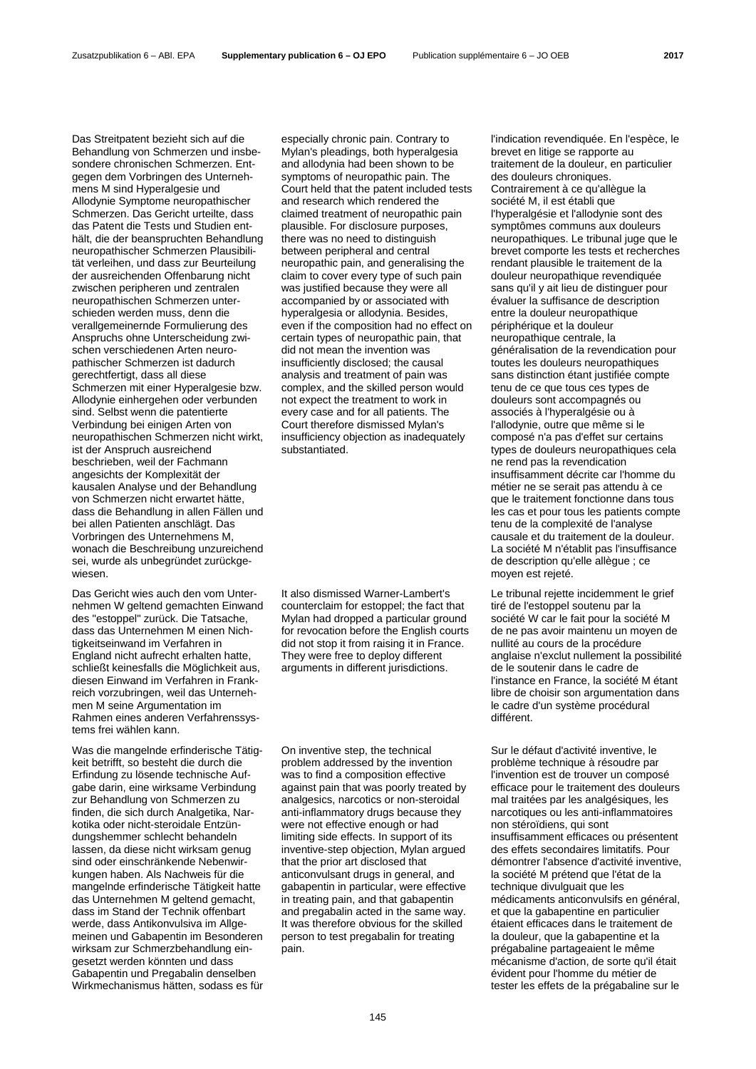Das Streitpatent bezieht sich auf die Behandlung von Schmerzen und insbesondere chronischen Schmerzen. Entgegen dem Vorbringen des Unternehmens M sind Hyperalgesie und Allodynie Symptome neuropathischer Schmerzen. Das Gericht urteilte, dass das Patent die Tests und Studien enthält, die der beanspruchten Behandlung neuropathischer Schmerzen Plausibilität verleihen, und dass zur Beurteilung der ausreichenden Offenbarung nicht zwischen peripheren und zentralen neuropathischen Schmerzen unterschieden werden muss, denn die verallgemeinernde Formulierung des Anspruchs ohne Unterscheidung zwischen verschiedenen Arten neuropathischer Schmerzen ist dadurch gerechtfertigt, dass all diese Schmerzen mit einer Hyperalgesie bzw. Allodynie einhergehen oder verbunden sind. Selbst wenn die patentierte Verbindung bei einigen Arten von neuropathischen Schmerzen nicht wirkt, ist der Anspruch ausreichend beschrieben, weil der Fachmann angesichts der Komplexität der kausalen Analyse und der Behandlung von Schmerzen nicht erwartet hätte, dass die Behandlung in allen Fällen und bei allen Patienten anschlägt. Das Vorbringen des Unternehmens M, wonach die Beschreibung unzureichend sei, wurde als unbegründet zurückgewiesen.

Das Gericht wies auch den vom Unternehmen W geltend gemachten Einwand des "estoppel" zurück. Die Tatsache, dass das Unternehmen M einen Nichtigkeitseinwand im Verfahren in England nicht aufrecht erhalten hatte, schließt keinesfalls die Möglichkeit aus, diesen Einwand im Verfahren in Frankreich vorzubringen, weil das Unternehmen M seine Argumentation im Rahmen eines anderen Verfahrenssystems frei wählen kann.

Was die mangelnde erfinderische Tätigkeit betrifft, so besteht die durch die Erfindung zu lösende technische Aufgabe darin, eine wirksame Verbindung zur Behandlung von Schmerzen zu finden, die sich durch Analgetika, Narkotika oder nicht-steroidale Entzündungshemmer schlecht behandeln lassen, da diese nicht wirksam genug sind oder einschränkende Nebenwirkungen haben. Als Nachweis für die mangelnde erfinderische Tätigkeit hatte das Unternehmen M geltend gemacht, dass im Stand der Technik offenbart werde, dass Antikonvulsiva im Allgemeinen und Gabapentin im Besonderen wirksam zur Schmerzbehandlung eingesetzt werden könnten und dass Gabapentin und Pregabalin denselben Wirkmechanismus hätten, sodass es für

especially chronic pain. Contrary to Mylan's pleadings, both hyperalgesia and allodynia had been shown to be symptoms of neuropathic pain. The Court held that the patent included tests and research which rendered the claimed treatment of neuropathic pain plausible. For disclosure purposes, there was no need to distinguish between peripheral and central neuropathic pain, and generalising the claim to cover every type of such pain was justified because they were all accompanied by or associated with hyperalgesia or allodynia. Besides, even if the composition had no effect on certain types of neuropathic pain, that did not mean the invention was insufficiently disclosed; the causal analysis and treatment of pain was complex, and the skilled person would not expect the treatment to work in every case and for all patients. The Court therefore dismissed Mylan's insufficiency objection as inadequately substantiated.

 It also dismissed Warner-Lambert's counterclaim for estoppel; the fact that Mylan had dropped a particular ground for revocation before the English courts did not stop it from raising it in France. They were free to deploy different arguments in different jurisdictions.

 On inventive step, the technical problem addressed by the invention was to find a composition effective against pain that was poorly treated by analgesics, narcotics or non-steroidal anti-inflammatory drugs because they were not effective enough or had limiting side effects. In support of its inventive-step objection, Mylan argued that the prior art disclosed that anticonvulsant drugs in general, and gabapentin in particular, were effective in treating pain, and that gabapentin and pregabalin acted in the same way. It was therefore obvious for the skilled person to test pregabalin for treating pain.

l'indication revendiquée. En l'espèce, le brevet en litige se rapporte au traitement de la douleur, en particulier des douleurs chroniques. Contrairement à ce qu'allègue la société M, il est établi que l'hyperalgésie et l'allodynie sont des symptômes communs aux douleurs neuropathiques. Le tribunal juge que le brevet comporte les tests et recherches rendant plausible le traitement de la douleur neuropathique revendiquée sans qu'il y ait lieu de distinguer pour évaluer la suffisance de description entre la douleur neuropathique périphérique et la douleur neuropathique centrale, la généralisation de la revendication pour toutes les douleurs neuropathiques sans distinction étant justifiée compte tenu de ce que tous ces types de douleurs sont accompagnés ou associés à l'hyperalgésie ou à l'allodynie, outre que même si le composé n'a pas d'effet sur certains types de douleurs neuropathiques cela ne rend pas la revendication insuffisamment décrite car l'homme du métier ne se serait pas attendu à ce que le traitement fonctionne dans tous les cas et pour tous les patients compte tenu de la complexité de l'analyse causale et du traitement de la douleur. La société M n'établit pas l'insuffisance de description qu'elle allègue ; ce moyen est rejeté.

 Le tribunal rejette incidemment le grief tiré de l'estoppel soutenu par la société W car le fait pour la société M de ne pas avoir maintenu un moyen de nullité au cours de la procédure anglaise n'exclut nullement la possibilité de le soutenir dans le cadre de l'instance en France, la société M étant libre de choisir son argumentation dans le cadre d'un système procédural différent.

 Sur le défaut d'activité inventive, le problème technique à résoudre par l'invention est de trouver un composé efficace pour le traitement des douleurs mal traitées par les analgésiques, les narcotiques ou les anti-inflammatoires non stéroïdiens, qui sont insuffisamment efficaces ou présentent des effets secondaires limitatifs. Pour démontrer l'absence d'activité inventive, la société M prétend que l'état de la technique divulguait que les médicaments anticonvulsifs en général, et que la gabapentine en particulier étaient efficaces dans le traitement de la douleur, que la gabapentine et la prégabaline partageaient le même mécanisme d'action, de sorte qu'il était évident pour l'homme du métier de tester les effets de la prégabaline sur le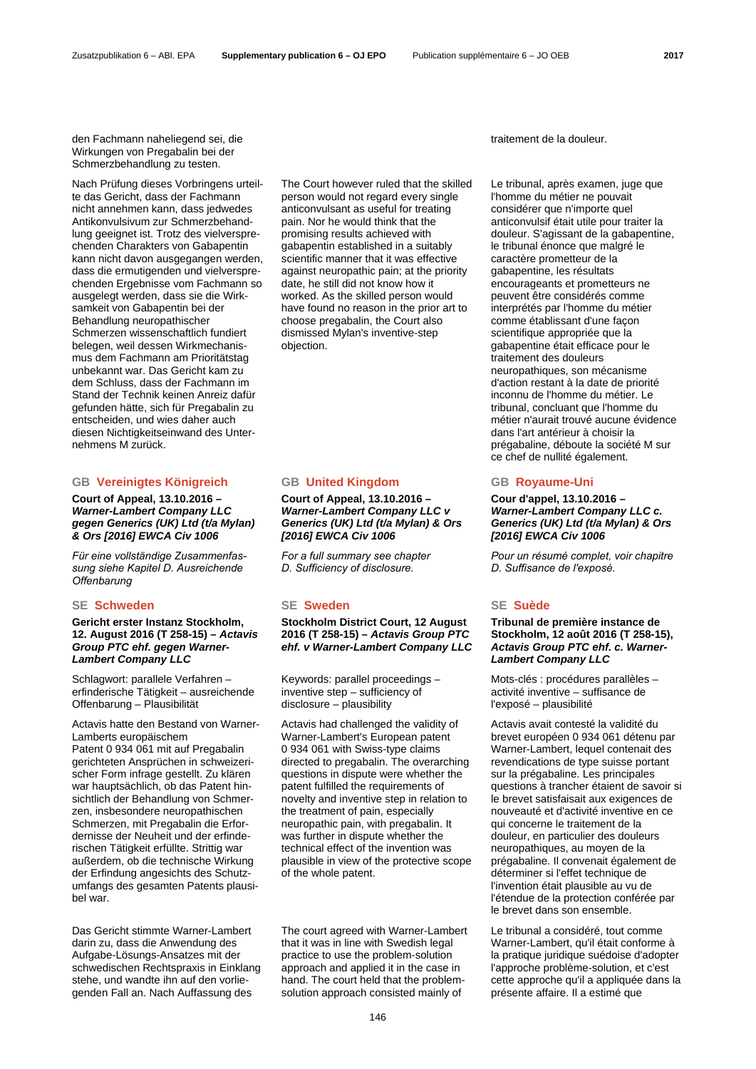den Fachmann naheliegend sei, die Wirkungen von Pregabalin bei der Schmerzbehandlung zu testen.

Nach Prüfung dieses Vorbringens urteilte das Gericht, dass der Fachmann nicht annehmen kann, dass jedwedes Antikonvulsivum zur Schmerzbehandlung geeignet ist. Trotz des vielversprechenden Charakters von Gabapentin kann nicht davon ausgegangen werden, dass die ermutigenden und vielversprechenden Ergebnisse vom Fachmann so ausgelegt werden, dass sie die Wirksamkeit von Gabapentin bei der Behandlung neuropathischer Schmerzen wissenschaftlich fundiert belegen, weil dessen Wirkmechanismus dem Fachmann am Prioritätstag unbekannt war. Das Gericht kam zu dem Schluss, dass der Fachmann im Stand der Technik keinen Anreiz dafür gefunden hätte, sich für Pregabalin zu entscheiden, und wies daher auch diesen Nichtigkeitseinwand des Unternehmens M zurück.

### **GB Vereinigtes Königreich GB United Kingdom GB Royaume-Uni**

**Court of Appeal, 13.10.2016 –** *Warner-Lambert Company LLC gegen Generics (UK) Ltd (t/a Mylan) & Ors [2016] EWCA Civ 1006*

*Für eine vollständige Zusammenfassung siehe Kapitel D. Ausreichende Offenbarung*

### **SE Schweden SE Sweden SE Suède**

**Gericht erster Instanz Stockholm, 12. August 2016 (T 258-15) –** *Actavis Group PTC ehf. gegen Warner-Lambert Company LLC* 

Schlagwort: parallele Verfahren – erfinderische Tätigkeit – ausreichende Offenbarung – Plausibilität

Actavis hatte den Bestand von Warner-Lamberts europäischem Patent 0 934 061 mit auf Pregabalin gerichteten Ansprüchen in schweizerischer Form infrage gestellt. Zu klären war hauptsächlich, ob das Patent hinsichtlich der Behandlung von Schmerzen, insbesondere neuropathischen Schmerzen, mit Pregabalin die Erfordernisse der Neuheit und der erfinderischen Tätigkeit erfüllte. Strittig war außerdem, ob die technische Wirkung der Erfindung angesichts des Schutzumfangs des gesamten Patents plausibel war.

Das Gericht stimmte Warner-Lambert darin zu, dass die Anwendung des Aufgabe-Lösungs-Ansatzes mit der schwedischen Rechtspraxis in Einklang stehe, und wandte ihn auf den vorliegenden Fall an. Nach Auffassung des

 The Court however ruled that the skilled person would not regard every single anticonvulsant as useful for treating pain. Nor he would think that the promising results achieved with gabapentin established in a suitably scientific manner that it was effective against neuropathic pain; at the priority date, he still did not know how it worked. As the skilled person would have found no reason in the prior art to choose pregabalin, the Court also dismissed Mylan's inventive-step objection.

**Court of Appeal, 13.10.2016 –** *Warner-Lambert Company LLC v Generics (UK) Ltd (t/a Mylan) & Ors [2016] EWCA Civ 1006*

*For a full summary see chapter D. Sufficiency of disclosure.*

**Stockholm District Court, 12 August 2016 (T 258-15) –** *Actavis Group PTC ehf. v Warner-Lambert Company LLC* 

 Keywords: parallel proceedings – inventive step – sufficiency of disclosure – plausibility

Actavis had challenged the validity of Warner-Lambert's European patent 0 934 061 with Swiss-type claims directed to pregabalin. The overarching questions in dispute were whether the patent fulfilled the requirements of novelty and inventive step in relation to the treatment of pain, especially neuropathic pain, with pregabalin. It was further in dispute whether the technical effect of the invention was plausible in view of the protective scope of the whole patent.

 The court agreed with Warner-Lambert that it was in line with Swedish legal practice to use the problem-solution approach and applied it in the case in hand. The court held that the problemsolution approach consisted mainly of

traitement de la douleur.

 Le tribunal, après examen, juge que l'homme du métier ne pouvait considérer que n'importe quel anticonvulsif était utile pour traiter la douleur. S'agissant de la gabapentine, le tribunal énonce que malgré le caractère prometteur de la gabapentine, les résultats encourageants et prometteurs ne peuvent être considérés comme interprétés par l'homme du métier comme établissant d'une façon scientifique appropriée que la gabapentine était efficace pour le traitement des douleurs neuropathiques, son mécanisme d'action restant à la date de priorité inconnu de l'homme du métier. Le tribunal, concluant que l'homme du métier n'aurait trouvé aucune évidence dans l'art antérieur à choisir la prégabaline, déboute la société M sur ce chef de nullité également.

**Cour d'appel, 13.10.2016 –** *Warner-Lambert Company LLC c. Generics (UK) Ltd (t/a Mylan) & Ors [2016] EWCA Civ 1006*

*Pour un résumé complet, voir chapitre D. Suffisance de l'exposé.*

### **Tribunal de première instance de Stockholm, 12 août 2016 (T 258-15),**  *Actavis Group PTC ehf. c. Warner-Lambert Company LLC*

 Mots-clés : procédures parallèles – activité inventive – suffisance de l'exposé – plausibilité

Actavis avait contesté la validité du brevet européen 0 934 061 détenu par Warner-Lambert, lequel contenait des revendications de type suisse portant sur la prégabaline. Les principales questions à trancher étaient de savoir si le brevet satisfaisait aux exigences de nouveauté et d'activité inventive en ce qui concerne le traitement de la douleur, en particulier des douleurs neuropathiques, au moyen de la prégabaline. Il convenait également de déterminer si l'effet technique de l'invention était plausible au vu de l'étendue de la protection conférée par le brevet dans son ensemble.

 Le tribunal a considéré, tout comme Warner-Lambert, qu'il était conforme à la pratique juridique suédoise d'adopter l'approche problème-solution, et c'est cette approche qu'il a appliquée dans la présente affaire. Il a estimé que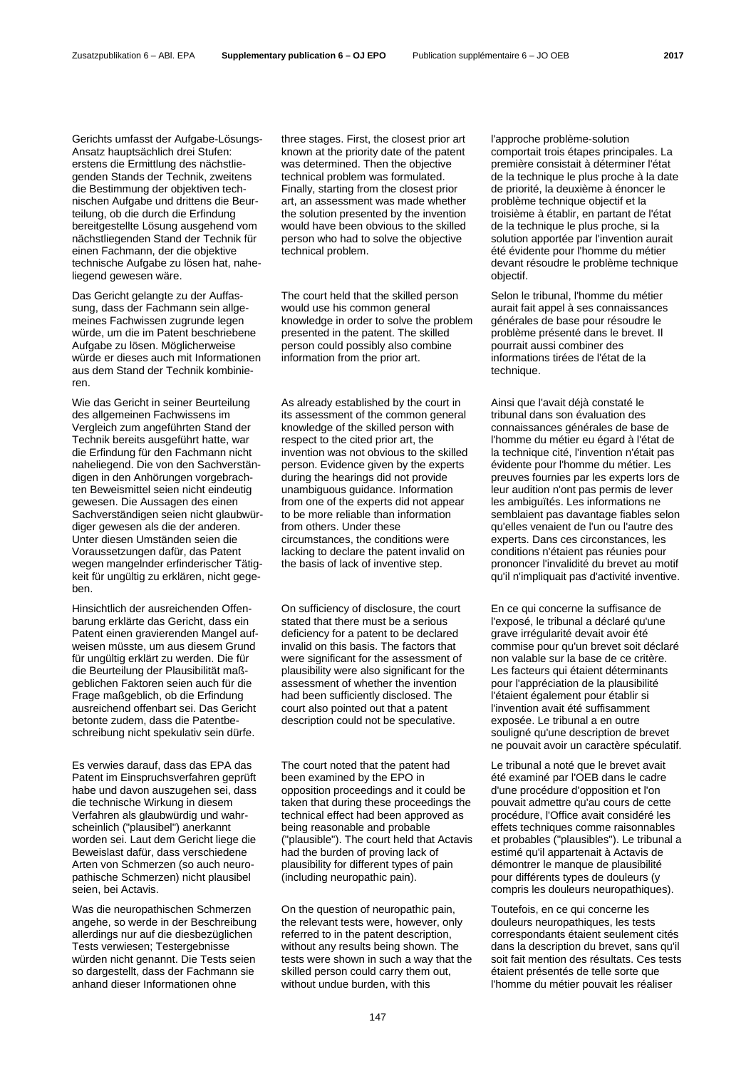Gerichts umfasst der Aufgabe-Lösungs-Ansatz hauptsächlich drei Stufen: erstens die Ermittlung des nächstliegenden Stands der Technik, zweitens die Bestimmung der objektiven technischen Aufgabe und drittens die Beurteilung, ob die durch die Erfindung bereitgestellte Lösung ausgehend vom nächstliegenden Stand der Technik für einen Fachmann, der die objektive technische Aufgabe zu lösen hat, naheliegend gewesen wäre.

Das Gericht gelangte zu der Auffassung, dass der Fachmann sein allgemeines Fachwissen zugrunde legen würde, um die im Patent beschriebene Aufgabe zu lösen. Möglicherweise würde er dieses auch mit Informationen aus dem Stand der Technik kombinieren.

Wie das Gericht in seiner Beurteilung des allgemeinen Fachwissens im Vergleich zum angeführten Stand der Technik bereits ausgeführt hatte, war die Erfindung für den Fachmann nicht naheliegend. Die von den Sachverständigen in den Anhörungen vorgebrachten Beweismittel seien nicht eindeutig gewesen. Die Aussagen des einen Sachverständigen seien nicht glaubwürdiger gewesen als die der anderen. Unter diesen Umständen seien die Voraussetzungen dafür, das Patent wegen mangelnder erfinderischer Tätigkeit für ungültig zu erklären, nicht gegeben.

Hinsichtlich der ausreichenden Offenbarung erklärte das Gericht, dass ein Patent einen gravierenden Mangel aufweisen müsste, um aus diesem Grund für ungültig erklärt zu werden. Die für die Beurteilung der Plausibilität maßgeblichen Faktoren seien auch für die Frage maßgeblich, ob die Erfindung ausreichend offenbart sei. Das Gericht betonte zudem, dass die Patentbeschreibung nicht spekulativ sein dürfe.

Es verwies darauf, dass das EPA das Patent im Einspruchsverfahren geprüft habe und davon auszugehen sei, dass die technische Wirkung in diesem Verfahren als glaubwürdig und wahrscheinlich ("plausibel") anerkannt worden sei. Laut dem Gericht liege die Beweislast dafür, dass verschiedene Arten von Schmerzen (so auch neuropathische Schmerzen) nicht plausibel seien, bei Actavis.

Was die neuropathischen Schmerzen angehe, so werde in der Beschreibung allerdings nur auf die diesbezüglichen Tests verwiesen; Testergebnisse würden nicht genannt. Die Tests seien so dargestellt, dass der Fachmann sie anhand dieser Informationen ohne

three stages. First, the closest prior art known at the priority date of the patent was determined. Then the objective technical problem was formulated. Finally, starting from the closest prior art, an assessment was made whether the solution presented by the invention would have been obvious to the skilled person who had to solve the objective technical problem.

### The court held that the skilled person would use his common general knowledge in order to solve the problem presented in the patent. The skilled person could possibly also combine information from the prior art.

As already established by the court in its assessment of the common general knowledge of the skilled person with respect to the cited prior art, the invention was not obvious to the skilled person. Evidence given by the experts during the hearings did not provide unambiguous guidance. Information from one of the experts did not appear to be more reliable than information from others. Under these circumstances, the conditions were lacking to declare the patent invalid on the basis of lack of inventive step.

 On sufficiency of disclosure, the court stated that there must be a serious deficiency for a patent to be declared invalid on this basis. The factors that were significant for the assessment of plausibility were also significant for the assessment of whether the invention had been sufficiently disclosed. The court also pointed out that a patent description could not be speculative.

 The court noted that the patent had been examined by the EPO in opposition proceedings and it could be taken that during these proceedings the technical effect had been approved as being reasonable and probable ("plausible"). The court held that Actavis had the burden of proving lack of plausibility for different types of pain (including neuropathic pain).

 On the question of neuropathic pain, the relevant tests were, however, only referred to in the patent description, without any results being shown. The tests were shown in such a way that the skilled person could carry them out, without undue burden, with this

l'approche problème-solution comportait trois étapes principales. La première consistait à déterminer l'état de la technique le plus proche à la date de priorité, la deuxième à énoncer le problème technique objectif et la troisième à établir, en partant de l'état de la technique le plus proche, si la solution apportée par l'invention aurait été évidente pour l'homme du métier devant résoudre le problème technique objectif.

 Selon le tribunal, l'homme du métier aurait fait appel à ses connaissances générales de base pour résoudre le problème présenté dans le brevet. Il pourrait aussi combiner des informations tirées de l'état de la technique.

Ainsi que l'avait déjà constaté le tribunal dans son évaluation des connaissances générales de base de l'homme du métier eu égard à l'état de la technique cité, l'invention n'était pas évidente pour l'homme du métier. Les preuves fournies par les experts lors de leur audition n'ont pas permis de lever les ambiguïtés. Les informations ne semblaient pas davantage fiables selon qu'elles venaient de l'un ou l'autre des experts. Dans ces circonstances, les conditions n'étaient pas réunies pour prononcer l'invalidité du brevet au motif qu'il n'impliquait pas d'activité inventive.

 En ce qui concerne la suffisance de l'exposé, le tribunal a déclaré qu'une grave irrégularité devait avoir été commise pour qu'un brevet soit déclaré non valable sur la base de ce critère. Les facteurs qui étaient déterminants pour l'appréciation de la plausibilité l'étaient également pour établir si l'invention avait été suffisamment exposée. Le tribunal a en outre souligné qu'une description de brevet ne pouvait avoir un caractère spéculatif.

 Le tribunal a noté que le brevet avait été examiné par l'OEB dans le cadre d'une procédure d'opposition et l'on pouvait admettre qu'au cours de cette procédure, l'Office avait considéré les effets techniques comme raisonnables et probables ("plausibles"). Le tribunal a estimé qu'il appartenait à Actavis de démontrer le manque de plausibilité pour différents types de douleurs (y compris les douleurs neuropathiques).

 Toutefois, en ce qui concerne les douleurs neuropathiques, les tests correspondants étaient seulement cités dans la description du brevet, sans qu'il soit fait mention des résultats. Ces tests étaient présentés de telle sorte que l'homme du métier pouvait les réaliser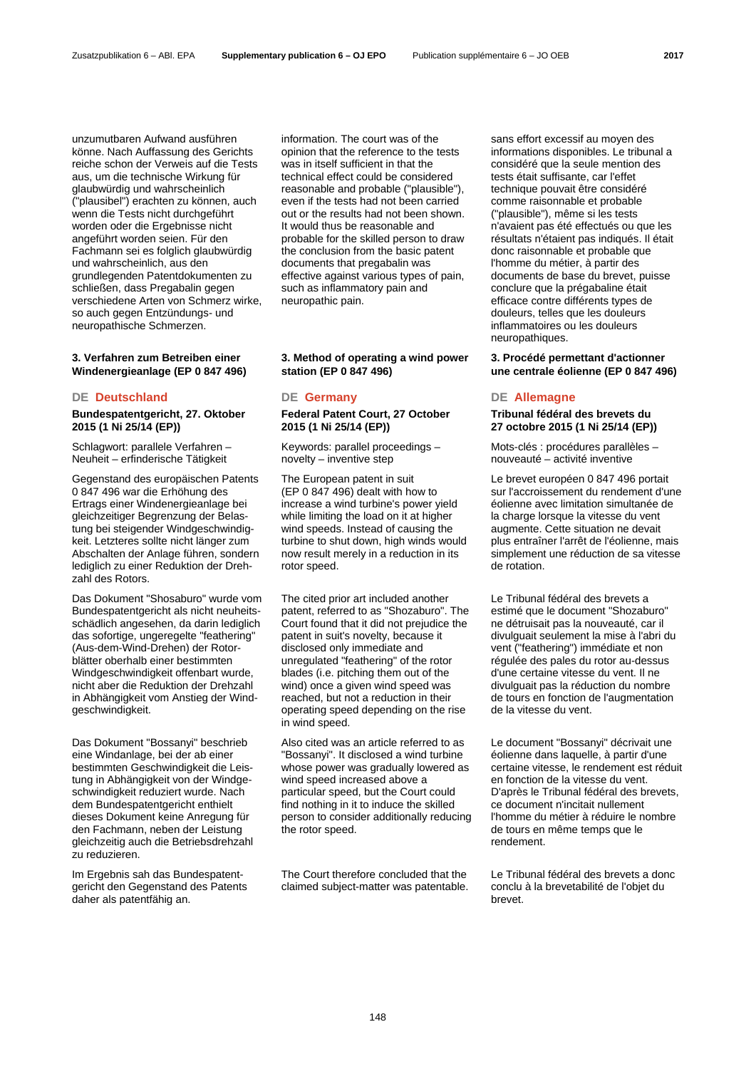unzumutbaren Aufwand ausführen könne. Nach Auffassung des Gerichts reiche schon der Verweis auf die Tests aus, um die technische Wirkung für glaubwürdig und wahrscheinlich ("plausibel") erachten zu können, auch wenn die Tests nicht durchgeführt worden oder die Ergebnisse nicht angeführt worden seien. Für den Fachmann sei es folglich glaubwürdig und wahrscheinlich, aus den grundlegenden Patentdokumenten zu schließen, dass Pregabalin gegen verschiedene Arten von Schmerz wirke, so auch gegen Entzündungs- und neuropathische Schmerzen.

# **3. Verfahren zum Betreiben einer Windenergieanlage (EP 0 847 496)**

# **DE Deutschland DE Germany DE Allemagne**

# **Bundespatentgericht, 27. Oktober 2015 (1 Ni 25/14 (EP))**

Schlagwort: parallele Verfahren – Neuheit – erfinderische Tätigkeit

Gegenstand des europäischen Patents 0 847 496 war die Erhöhung des Ertrags einer Windenergieanlage bei gleichzeitiger Begrenzung der Belastung bei steigender Windgeschwindigkeit. Letzteres sollte nicht länger zum Abschalten der Anlage führen, sondern lediglich zu einer Reduktion der Drehzahl des Rotors.

Das Dokument "Shosaburo" wurde vom Bundespatentgericht als nicht neuheitsschädlich angesehen, da darin lediglich das sofortige, ungeregelte "feathering" (Aus-dem-Wind-Drehen) der Rotorblätter oberhalb einer bestimmten Windgeschwindigkeit offenbart wurde, nicht aber die Reduktion der Drehzahl in Abhängigkeit vom Anstieg der Windgeschwindigkeit.

Das Dokument "Bossanyi" beschrieb eine Windanlage, bei der ab einer bestimmten Geschwindigkeit die Leistung in Abhängigkeit von der Windgeschwindigkeit reduziert wurde. Nach dem Bundespatentgericht enthielt dieses Dokument keine Anregung für den Fachmann, neben der Leistung gleichzeitig auch die Betriebsdrehzahl zu reduzieren.

Im Ergebnis sah das Bundespatentgericht den Gegenstand des Patents daher als patentfähig an.

information. The court was of the opinion that the reference to the tests was in itself sufficient in that the technical effect could be considered reasonable and probable ("plausible"), even if the tests had not been carried out or the results had not been shown. It would thus be reasonable and probable for the skilled person to draw the conclusion from the basic patent documents that pregabalin was effective against various types of pain, such as inflammatory pain and neuropathic pain.

### **3. Method of operating a wind power station (EP 0 847 496)**

**Federal Patent Court, 27 October 2015 (1 Ni 25/14 (EP))** 

 Keywords: parallel proceedings – novelty – inventive step

 The European patent in suit (EP 0 847 496) dealt with how to increase a wind turbine's power yield while limiting the load on it at higher wind speeds. Instead of causing the turbine to shut down, high winds would now result merely in a reduction in its rotor speed.

 The cited prior art included another patent, referred to as "Shozaburo". The Court found that it did not prejudice the patent in suit's novelty, because it disclosed only immediate and unregulated "feathering" of the rotor blades (i.e. pitching them out of the wind) once a given wind speed was reached, but not a reduction in their operating speed depending on the rise in wind speed.

Also cited was an article referred to as "Bossanyi". It disclosed a wind turbine whose power was gradually lowered as wind speed increased above a particular speed, but the Court could find nothing in it to induce the skilled person to consider additionally reducing the rotor speed.

 The Court therefore concluded that the claimed subject-matter was patentable.

sans effort excessif au moyen des informations disponibles. Le tribunal a considéré que la seule mention des tests était suffisante, car l'effet technique pouvait être considéré comme raisonnable et probable ("plausible"), même si les tests n'avaient pas été effectués ou que les résultats n'étaient pas indiqués. Il était donc raisonnable et probable que l'homme du métier, à partir des documents de base du brevet, puisse conclure que la prégabaline était efficace contre différents types de douleurs, telles que les douleurs inflammatoires ou les douleurs neuropathiques.

### **3. Procédé permettant d'actionner une centrale éolienne (EP 0 847 496)**

**Tribunal fédéral des brevets du 27 octobre 2015 (1 Ni 25/14 (EP))**

 Mots-clés : procédures parallèles – nouveauté – activité inventive

 Le brevet européen 0 847 496 portait sur l'accroissement du rendement d'une éolienne avec limitation simultanée de la charge lorsque la vitesse du vent augmente. Cette situation ne devait plus entraîner l'arrêt de l'éolienne, mais simplement une réduction de sa vitesse de rotation.

 Le Tribunal fédéral des brevets a estimé que le document "Shozaburo" ne détruisait pas la nouveauté, car il divulguait seulement la mise à l'abri du vent ("feathering") immédiate et non régulée des pales du rotor au-dessus d'une certaine vitesse du vent. Il ne divulguait pas la réduction du nombre de tours en fonction de l'augmentation de la vitesse du vent.

 Le document "Bossanyi" décrivait une éolienne dans laquelle, à partir d'une certaine vitesse, le rendement est réduit en fonction de la vitesse du vent. D'après le Tribunal fédéral des brevets, ce document n'incitait nullement l'homme du métier à réduire le nombre de tours en même temps que le rendement.

 Le Tribunal fédéral des brevets a donc conclu à la brevetabilité de l'objet du brevet.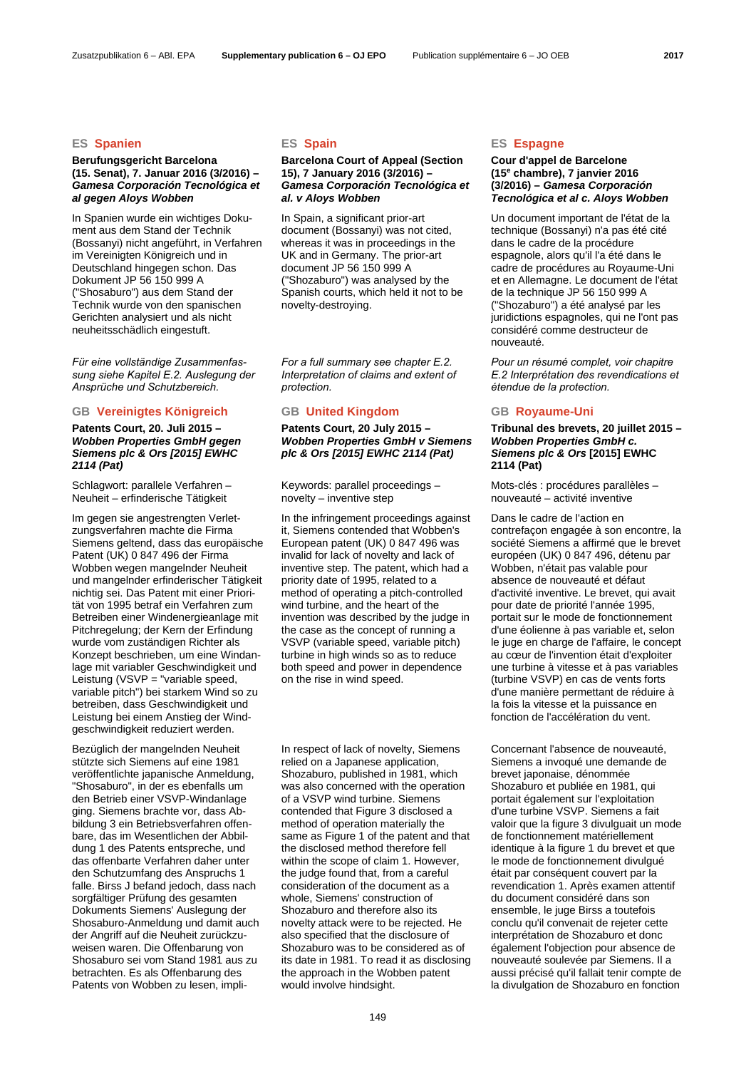# **ES Spanien ES Spain ES Espagne**

### **Berufungsgericht Barcelona (15. Senat), 7. Januar 2016 (3/2016) –**  *Gamesa Corporación Tecnológica et al gegen Aloys Wobben*

In Spanien wurde ein wichtiges Dokument aus dem Stand der Technik (Bossanyi) nicht angeführt, in Verfahren im Vereinigten Königreich und in Deutschland hingegen schon. Das Dokument JP 56 150 999 A ("Shosaburo") aus dem Stand der Technik wurde von den spanischen Gerichten analysiert und als nicht neuheitsschädlich eingestuft.

*Für eine vollständige Zusammenfassung siehe Kapitel E.2. Auslegung der Ansprüche und Schutzbereich.*

### **GB Vereinigtes Königreich GB United Kingdom GB Royaume-Uni**

**Patents Court, 20. Juli 2015 –** *Wobben Properties GmbH gegen Siemens plc & Ors [2015] EWHC 2114 (Pat)*

Schlagwort: parallele Verfahren – Neuheit – erfinderische Tätigkeit

Im gegen sie angestrengten Verletzungsverfahren machte die Firma Siemens geltend, dass das europäische Patent (UK) 0 847 496 der Firma Wobben wegen mangelnder Neuheit und mangelnder erfinderischer Tätigkeit nichtig sei. Das Patent mit einer Priorität von 1995 betraf ein Verfahren zum Betreiben einer Windenergieanlage mit Pitchregelung; der Kern der Erfindung wurde vom zuständigen Richter als Konzept beschrieben, um eine Windanlage mit variabler Geschwindigkeit und Leistung (VSVP = "variable speed, variable pitch") bei starkem Wind so zu betreiben, dass Geschwindigkeit und Leistung bei einem Anstieg der Windgeschwindigkeit reduziert werden.

Bezüglich der mangelnden Neuheit stützte sich Siemens auf eine 1981 veröffentlichte japanische Anmeldung, "Shosaburo", in der es ebenfalls um den Betrieb einer VSVP-Windanlage ging. Siemens brachte vor, dass Abbildung 3 ein Betriebsverfahren offenbare, das im Wesentlichen der Abbildung 1 des Patents entspreche, und das offenbarte Verfahren daher unter den Schutzumfang des Anspruchs 1 falle. Birss J befand jedoch, dass nach sorgfältiger Prüfung des gesamten Dokuments Siemens' Auslegung der Shosaburo-Anmeldung und damit auch der Angriff auf die Neuheit zurückzuweisen waren. Die Offenbarung von Shosaburo sei vom Stand 1981 aus zu betrachten. Es als Offenbarung des Patents von Wobben zu lesen, impli-

### **Barcelona Court of Appeal (Section 15), 7 January 2016 (3/2016) –**  *Gamesa Corporación Tecnológica et al. v Aloys Wobben*

 In Spain, a significant prior-art document (Bossanyi) was not cited, whereas it was in proceedings in the UK and in Germany. The prior-art document JP 56 150 999 A ("Shozaburo") was analysed by the Spanish courts, which held it not to be novelty-destroying.

*For a full summary see chapter E.2. Interpretation of claims and extent of protection.*

**Patents Court, 20 July 2015 –** *Wobben Properties GmbH v Siemens plc & Ors [2015] EWHC 2114 (Pat)*

 Keywords: parallel proceedings – novelty – inventive step

 In the infringement proceedings against it, Siemens contended that Wobben's European patent (UK) 0 847 496 was invalid for lack of novelty and lack of inventive step. The patent, which had a priority date of 1995, related to a method of operating a pitch-controlled wind turbine, and the heart of the invention was described by the judge in the case as the concept of running a VSVP (variable speed, variable pitch) turbine in high winds so as to reduce both speed and power in dependence on the rise in wind speed.

 In respect of lack of novelty, Siemens relied on a Japanese application, Shozaburo, published in 1981, which was also concerned with the operation of a VSVP wind turbine. Siemens contended that Figure 3 disclosed a method of operation materially the same as Figure 1 of the patent and that the disclosed method therefore fell within the scope of claim 1. However, the judge found that, from a careful consideration of the document as a whole, Siemens' construction of Shozaburo and therefore also its novelty attack were to be rejected. He also specified that the disclosure of Shozaburo was to be considered as of its date in 1981. To read it as disclosing the approach in the Wobben patent would involve hindsight.

### **Cour d'appel de Barcelone (15e chambre), 7 janvier 2016 (3/2016) –** *Gamesa Corporación Tecnológica et al c. Aloys Wobben*

 Un document important de l'état de la technique (Bossanyi) n'a pas été cité dans le cadre de la procédure espagnole, alors qu'il l'a été dans le cadre de procédures au Royaume-Uni et en Allemagne. Le document de l'état de la technique JP 56 150 999 A ("Shozaburo") a été analysé par les juridictions espagnoles, qui ne l'ont pas considéré comme destructeur de nouveauté.

*Pour un résumé complet, voir chapitre E.2 Interprétation des revendications et étendue de la protection.*

**Tribunal des brevets, 20 juillet 2015 –** *Wobben Properties GmbH c. Siemens plc & Ors* **[2015] EWHC 2114 (Pat)**

 Mots-clés : procédures parallèles – nouveauté – activité inventive

 Dans le cadre de l'action en contrefaçon engagée à son encontre, la société Siemens a affirmé que le brevet européen (UK) 0 847 496, détenu par Wobben, n'était pas valable pour absence de nouveauté et défaut d'activité inventive. Le brevet, qui avait pour date de priorité l'année 1995, portait sur le mode de fonctionnement d'une éolienne à pas variable et, selon le juge en charge de l'affaire, le concept au cœur de l'invention était d'exploiter une turbine à vitesse et à pas variables (turbine VSVP) en cas de vents forts d'une manière permettant de réduire à la fois la vitesse et la puissance en fonction de l'accélération du vent.

 Concernant l'absence de nouveauté, Siemens a invoqué une demande de brevet japonaise, dénommée Shozaburo et publiée en 1981, qui portait également sur l'exploitation d'une turbine VSVP. Siemens a fait valoir que la figure 3 divulguait un mode de fonctionnement matériellement identique à la figure 1 du brevet et que le mode de fonctionnement divulgué était par conséquent couvert par la revendication 1. Après examen attentif du document considéré dans son ensemble, le juge Birss a toutefois conclu qu'il convenait de rejeter cette interprétation de Shozaburo et donc également l'objection pour absence de nouveauté soulevée par Siemens. Il a aussi précisé qu'il fallait tenir compte de la divulgation de Shozaburo en fonction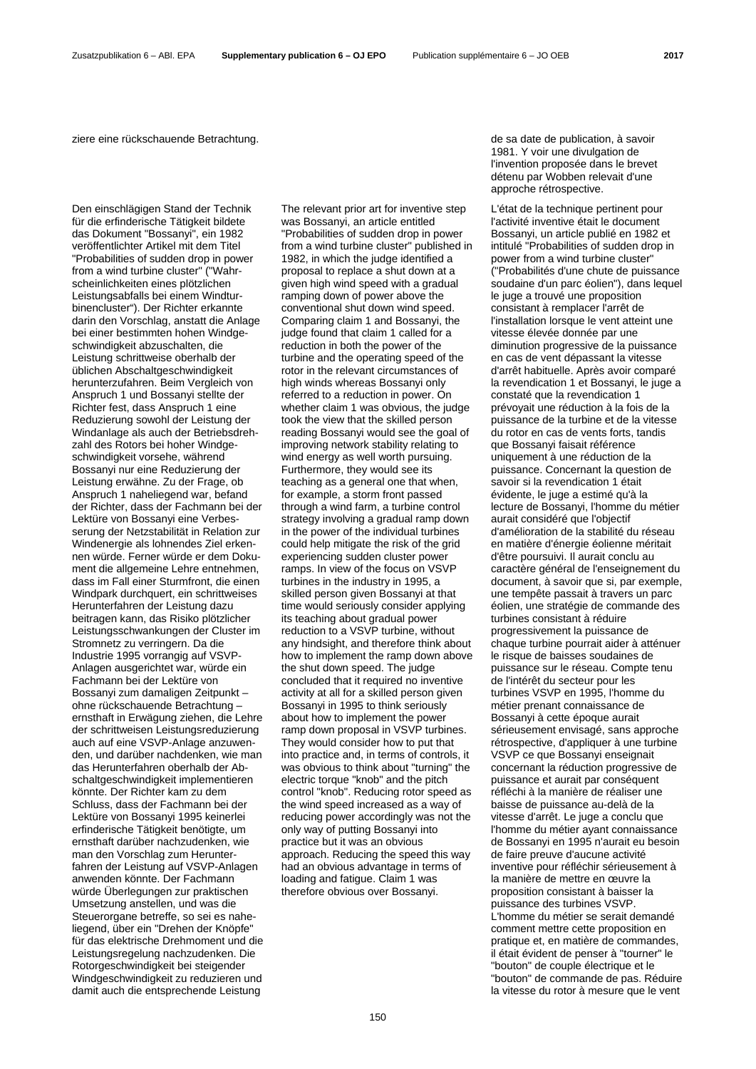Den einschlägigen Stand der Technik für die erfinderische Tätigkeit bildete das Dokument "Bossanyi", ein 1982 veröffentlichter Artikel mit dem Titel "Probabilities of sudden drop in power from a wind turbine cluster" ("Wahrscheinlichkeiten eines plötzlichen Leistungsabfalls bei einem Windturbinencluster"). Der Richter erkannte darin den Vorschlag, anstatt die Anlage bei einer bestimmten hohen Windgeschwindigkeit abzuschalten, die Leistung schrittweise oberhalb der üblichen Abschaltgeschwindigkeit herunterzufahren. Beim Vergleich von Anspruch 1 und Bossanyi stellte der Richter fest, dass Anspruch 1 eine Reduzierung sowohl der Leistung der Windanlage als auch der Betriebsdrehzahl des Rotors bei hoher Windgeschwindigkeit vorsehe, während Bossanyi nur eine Reduzierung der Leistung erwähne. Zu der Frage, ob Anspruch 1 naheliegend war, befand der Richter, dass der Fachmann bei der Lektüre von Bossanyi eine Verbesserung der Netzstabilität in Relation zur Windenergie als lohnendes Ziel erkennen würde. Ferner würde er dem Dokument die allgemeine Lehre entnehmen, dass im Fall einer Sturmfront, die einen Windpark durchquert, ein schrittweises Herunterfahren der Leistung dazu beitragen kann, das Risiko plötzlicher Leistungsschwankungen der Cluster im Stromnetz zu verringern. Da die Industrie 1995 vorrangig auf VSVP-Anlagen ausgerichtet war, würde ein Fachmann bei der Lektüre von Bossanyi zum damaligen Zeitpunkt – ohne rückschauende Betrachtung – ernsthaft in Erwägung ziehen, die Lehre der schrittweisen Leistungsreduzierung auch auf eine VSVP-Anlage anzuwenden, und darüber nachdenken, wie man das Herunterfahren oberhalb der Abschaltgeschwindigkeit implementieren könnte. Der Richter kam zu dem Schluss, dass der Fachmann bei der Lektüre von Bossanyi 1995 keinerlei erfinderische Tätigkeit benötigte, um ernsthaft darüber nachzudenken, wie man den Vorschlag zum Herunterfahren der Leistung auf VSVP-Anlagen anwenden könnte. Der Fachmann würde Überlegungen zur praktischen Umsetzung anstellen, und was die Steuerorgane betreffe, so sei es naheliegend, über ein "Drehen der Knöpfe" für das elektrische Drehmoment und die Leistungsregelung nachzudenken. Die Rotorgeschwindigkeit bei steigender Windgeschwindigkeit zu reduzieren und damit auch die entsprechende Leistung

 The relevant prior art for inventive step was Bossanyi, an article entitled "Probabilities of sudden drop in power from a wind turbine cluster" published in 1982, in which the judge identified a proposal to replace a shut down at a given high wind speed with a gradual ramping down of power above the conventional shut down wind speed. Comparing claim 1 and Bossanyi, the judge found that claim 1 called for a reduction in both the power of the turbine and the operating speed of the rotor in the relevant circumstances of high winds whereas Bossanyi only referred to a reduction in power. On whether claim 1 was obvious, the judge took the view that the skilled person reading Bossanyi would see the goal of improving network stability relating to wind energy as well worth pursuing. Furthermore, they would see its teaching as a general one that when. for example, a storm front passed through a wind farm, a turbine control strategy involving a gradual ramp down in the power of the individual turbines could help mitigate the risk of the grid experiencing sudden cluster power ramps. In view of the focus on VSVP turbines in the industry in 1995, a skilled person given Bossanyi at that time would seriously consider applying its teaching about gradual power reduction to a VSVP turbine, without any hindsight, and therefore think about how to implement the ramp down above the shut down speed. The judge concluded that it required no inventive activity at all for a skilled person given Bossanyi in 1995 to think seriously about how to implement the power ramp down proposal in VSVP turbines. They would consider how to put that into practice and, in terms of controls, it was obvious to think about "turning" the electric torque "knob" and the pitch control "knob". Reducing rotor speed as the wind speed increased as a way of reducing power accordingly was not the only way of putting Bossanyi into practice but it was an obvious approach. Reducing the speed this way had an obvious advantage in terms of loading and fatigue. Claim 1 was therefore obvious over Bossanyi.

ziere eine rückschauende Betrachtung. Ziere eine staate de publication, à savoir 1981. Y voir une divulgation de l'invention proposée dans le brevet détenu par Wobben relevait d'une approche rétrospective.

> L'état de la technique pertinent pour l'activité inventive était le document Bossanyi, un article publié en 1982 et intitulé "Probabilities of sudden drop in power from a wind turbine cluster" ("Probabilités d'une chute de puissance soudaine d'un parc éolien"), dans lequel le juge a trouvé une proposition consistant à remplacer l'arrêt de l'installation lorsque le vent atteint une vitesse élevée donnée par une diminution progressive de la puissance en cas de vent dépassant la vitesse d'arrêt habituelle. Après avoir comparé la revendication 1 et Bossanyi, le juge a constaté que la revendication 1 prévoyait une réduction à la fois de la puissance de la turbine et de la vitesse du rotor en cas de vents forts, tandis que Bossanyi faisait référence uniquement à une réduction de la puissance. Concernant la question de savoir si la revendication 1 était évidente, le juge a estimé qu'à la lecture de Bossanyi, l'homme du métier aurait considéré que l'objectif d'amélioration de la stabilité du réseau en matière d'énergie éolienne méritait d'être poursuivi. Il aurait conclu au caractère général de l'enseignement du document, à savoir que si, par exemple, une tempête passait à travers un parc éolien, une stratégie de commande des turbines consistant à réduire progressivement la puissance de chaque turbine pourrait aider à atténuer le risque de baisses soudaines de puissance sur le réseau. Compte tenu de l'intérêt du secteur pour les turbines VSVP en 1995, l'homme du métier prenant connaissance de Bossanyi à cette époque aurait sérieusement envisagé, sans approche rétrospective, d'appliquer à une turbine VSVP ce que Bossanyi enseignait concernant la réduction progressive de puissance et aurait par conséquent réfléchi à la manière de réaliser une baisse de puissance au-delà de la vitesse d'arrêt. Le juge a conclu que l'homme du métier ayant connaissance de Bossanyi en 1995 n'aurait eu besoin de faire preuve d'aucune activité inventive pour réfléchir sérieusement à la manière de mettre en œuvre la proposition consistant à baisser la puissance des turbines VSVP. L'homme du métier se serait demandé comment mettre cette proposition en pratique et, en matière de commandes, il était évident de penser à "tourner" le "bouton" de couple électrique et le "bouton" de commande de pas. Réduire la vitesse du rotor à mesure que le vent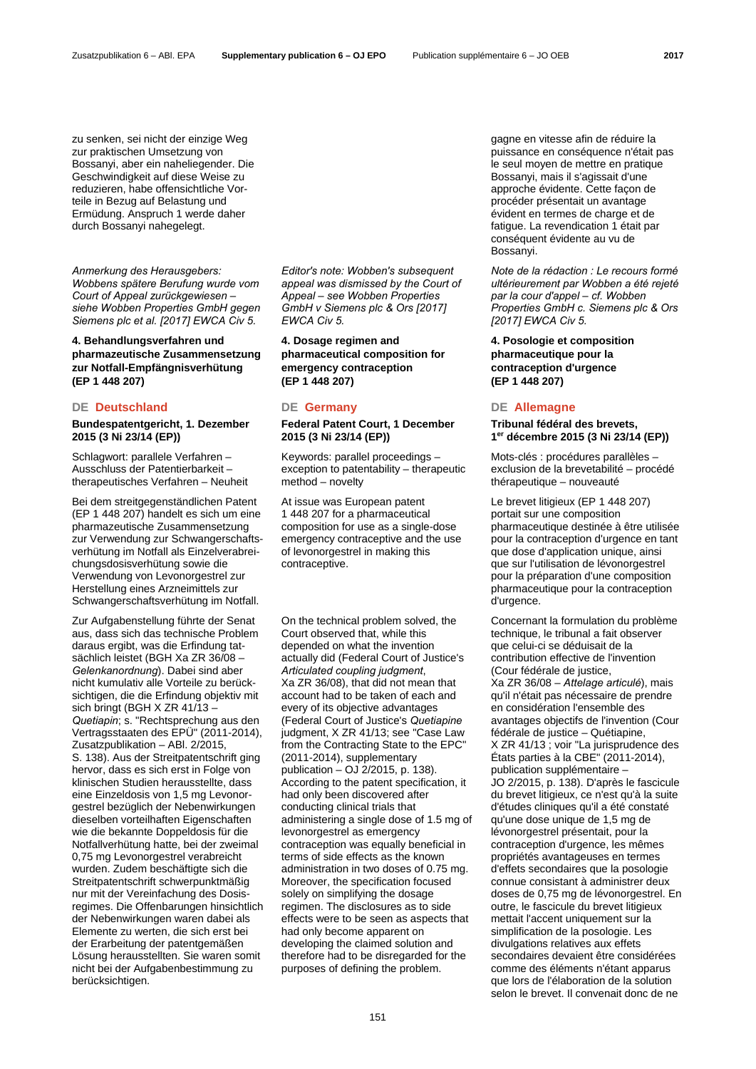zu senken, sei nicht der einzige Weg zur praktischen Umsetzung von Bossanyi, aber ein naheliegender. Die Geschwindigkeit auf diese Weise zu reduzieren, habe offensichtliche Vorteile in Bezug auf Belastung und Ermüdung. Anspruch 1 werde daher durch Bossanyi nahegelegt.

*Anmerkung des Herausgebers: Wobbens spätere Berufung wurde vom Court of Appeal zurückgewiesen – siehe Wobben Properties GmbH gegen Siemens plc et al. [2017] EWCA Civ 5.*

# **4. Behandlungsverfahren und pharmazeutische Zusammensetzung zur Notfall-Empfängnisverhütung (EP 1 448 207)**

# **DE Deutschland DE Germany DE Allemagne**

# **Bundespatentgericht, 1. Dezember 2015 (3 Ni 23/14 (EP))**

Schlagwort: parallele Verfahren – Ausschluss der Patentierbarkeit – therapeutisches Verfahren – Neuheit

Bei dem streitgegenständlichen Patent (EP 1 448 207) handelt es sich um eine pharmazeutische Zusammensetzung zur Verwendung zur Schwangerschaftsverhütung im Notfall als Einzelverabreichungsdosisverhütung sowie die Verwendung von Levonorgestrel zur Herstellung eines Arzneimittels zur Schwangerschaftsverhütung im Notfall.

Zur Aufgabenstellung führte der Senat aus, dass sich das technische Problem daraus ergibt, was die Erfindung tatsächlich leistet (BGH Xa ZR 36/08 – *Gelenkanordnung*). Dabei sind aber nicht kumulativ alle Vorteile zu berücksichtigen, die die Erfindung objektiv mit sich bringt (BGH X ZR 41/13 – *Quetiapin*; s. "Rechtsprechung aus den Vertragsstaaten des EPÜ" (2011-2014), Zusatzpublikation – ABl. 2/2015, S. 138). Aus der Streitpatentschrift ging hervor, dass es sich erst in Folge von klinischen Studien herausstellte, dass eine Einzeldosis von 1,5 mg Levonorgestrel bezüglich der Nebenwirkungen dieselben vorteilhaften Eigenschaften wie die bekannte Doppeldosis für die Notfallverhütung hatte, bei der zweimal 0,75 mg Levonorgestrel verabreicht wurden. Zudem beschäftigte sich die Streitpatentschrift schwerpunktmäßig nur mit der Vereinfachung des Dosisregimes. Die Offenbarungen hinsichtlich der Nebenwirkungen waren dabei als Elemente zu werten, die sich erst bei der Erarbeitung der patentgemäßen Lösung herausstellten. Sie waren somit nicht bei der Aufgabenbestimmung zu berücksichtigen.

*Editor's note: Wobben's subsequent appeal was dismissed by the Court of Appeal – see Wobben Properties GmbH v Siemens plc & Ors [2017] EWCA Civ 5.*

**4. Dosage regimen and pharmaceutical composition for emergency contraception (EP 1 448 207)** 

# **Federal Patent Court, 1 December 2015 (3 Ni 23/14 (EP))**

 Keywords: parallel proceedings – exception to patentability – therapeutic method – novelty

At issue was European patent 1 448 207 for a pharmaceutical composition for use as a single-dose emergency contraceptive and the use of levonorgestrel in making this contraceptive.

 On the technical problem solved, the Court observed that, while this depended on what the invention actually did (Federal Court of Justice's *Articulated coupling judgment*, Xa ZR 36/08), that did not mean that account had to be taken of each and every of its objective advantages (Federal Court of Justice's *Quetiapine* judgment, X ZR 41/13; see "Case Law from the Contracting State to the EPC" (2011-2014), supplementary publication – OJ 2/2015, p. 138). According to the patent specification, it had only been discovered after conducting clinical trials that administering a single dose of 1.5 mg of levonorgestrel as emergency contraception was equally beneficial in terms of side effects as the known administration in two doses of 0.75 mg. Moreover, the specification focused solely on simplifying the dosage regimen. The disclosures as to side effects were to be seen as aspects that had only become apparent on developing the claimed solution and therefore had to be disregarded for the purposes of defining the problem.

gagne en vitesse afin de réduire la puissance en conséquence n'était pas le seul moyen de mettre en pratique Bossanyi, mais il s'agissait d'une approche évidente. Cette façon de procéder présentait un avantage évident en termes de charge et de fatigue. La revendication 1 était par conséquent évidente au vu de Bossanyi.

*Note de la rédaction : Le recours formé ultérieurement par Wobben a été rejeté par la cour d'appel – cf. Wobben Properties GmbH c. Siemens plc & Ors [2017] EWCA Civ 5.*

**4. Posologie et composition pharmaceutique pour la contraception d'urgence (EP 1 448 207)** 

**Tribunal fédéral des brevets, 1er décembre 2015 (3 Ni 23/14 (EP))**

 Mots-clés : procédures parallèles – exclusion de la brevetabilité – procédé thérapeutique – nouveauté

 Le brevet litigieux (EP 1 448 207) portait sur une composition pharmaceutique destinée à être utilisée pour la contraception d'urgence en tant que dose d'application unique, ainsi que sur l'utilisation de lévonorgestrel pour la préparation d'une composition pharmaceutique pour la contraception d'urgence.

 Concernant la formulation du problème technique, le tribunal a fait observer que celui-ci se déduisait de la contribution effective de l'invention (Cour fédérale de justice, Xa ZR 36/08 – *Attelage articulé*), mais qu'il n'était pas nécessaire de prendre en considération l'ensemble des avantages objectifs de l'invention (Cour fédérale de justice – Quétiapine, X ZR 41/13 ; voir "La jurisprudence des États parties à la CBE" (2011-2014), publication supplémentaire – JO 2/2015, p. 138). D'après le fascicule du brevet litigieux, ce n'est qu'à la suite d'études cliniques qu'il a été constaté qu'une dose unique de 1,5 mg de lévonorgestrel présentait, pour la contraception d'urgence, les mêmes propriétés avantageuses en termes d'effets secondaires que la posologie connue consistant à administrer deux doses de 0,75 mg de lévonorgestrel. En outre, le fascicule du brevet litigieux mettait l'accent uniquement sur la simplification de la posologie. Les divulgations relatives aux effets secondaires devaient être considérées comme des éléments n'étant apparus que lors de l'élaboration de la solution selon le brevet. Il convenait donc de ne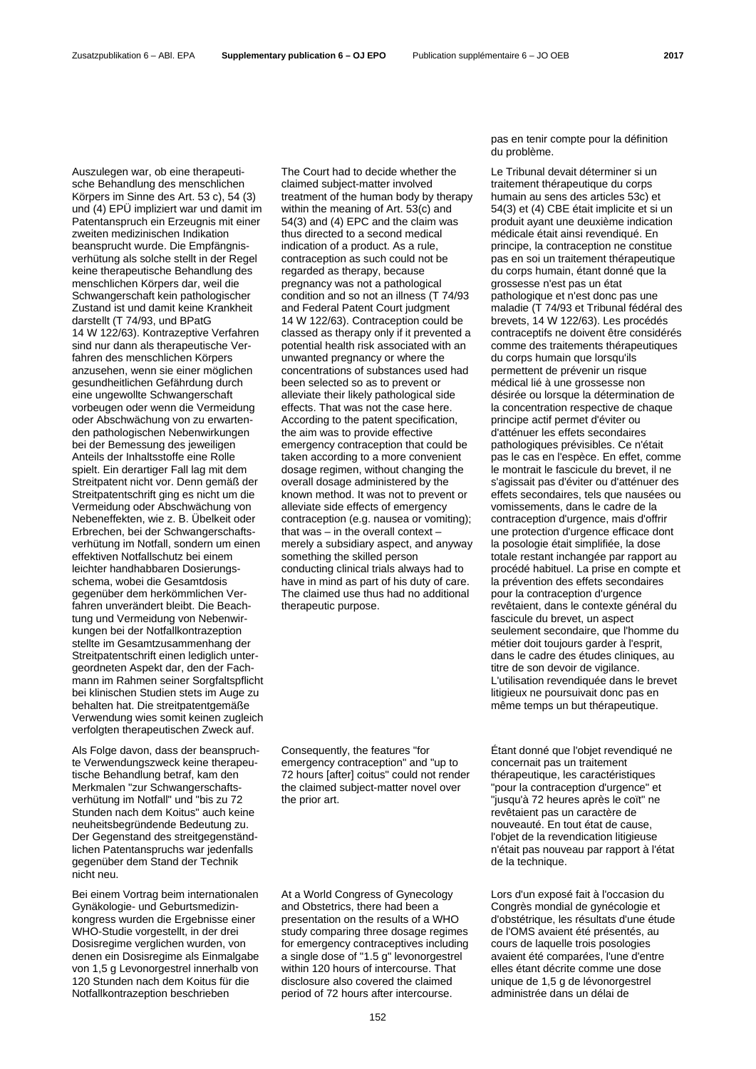sche Behandlung des menschlichen Körpers im Sinne des Art. 53 c), 54 (3) und (4) EPÜ impliziert war und damit im Patentanspruch ein Erzeugnis mit einer zweiten medizinischen Indikation beansprucht wurde. Die Empfängnisverhütung als solche stellt in der Regel keine therapeutische Behandlung des menschlichen Körpers dar, weil die Schwangerschaft kein pathologischer Zustand ist und damit keine Krankheit darstellt (T 74/93, und BPatG 14 W 122/63). Kontrazeptive Verfahren sind nur dann als therapeutische Verfahren des menschlichen Körpers anzusehen, wenn sie einer möglichen gesundheitlichen Gefährdung durch eine ungewollte Schwangerschaft vorbeugen oder wenn die Vermeidung oder Abschwächung von zu erwartenden pathologischen Nebenwirkungen bei der Bemessung des jeweiligen Anteils der Inhaltsstoffe eine Rolle spielt. Ein derartiger Fall lag mit dem Streitpatent nicht vor. Denn gemäß der Streitpatentschrift ging es nicht um die Vermeidung oder Abschwächung von Nebeneffekten, wie z. B. Übelkeit oder Erbrechen, bei der Schwangerschaftsverhütung im Notfall, sondern um einen effektiven Notfallschutz bei einem leichter handhabbaren Dosierungsschema, wobei die Gesamtdosis gegenüber dem herkömmlichen Verfahren unverändert bleibt. Die Beachtung und Vermeidung von Nebenwirkungen bei der Notfallkontrazeption stellte im Gesamtzusammenhang der Streitpatentschrift einen lediglich untergeordneten Aspekt dar, den der Fachmann im Rahmen seiner Sorgfaltspflicht bei klinischen Studien stets im Auge zu behalten hat. Die streitpatentgemäße Verwendung wies somit keinen zugleich verfolgten therapeutischen Zweck auf.

Auszulegen war, ob eine therapeuti-

Als Folge davon, dass der beanspruchte Verwendungszweck keine therapeutische Behandlung betraf, kam den Merkmalen "zur Schwangerschaftsverhütung im Notfall" und "bis zu 72 Stunden nach dem Koitus" auch keine neuheitsbegründende Bedeutung zu. Der Gegenstand des streitgegenständlichen Patentanspruchs war jedenfalls gegenüber dem Stand der Technik nicht neu.

Bei einem Vortrag beim internationalen Gynäkologie- und Geburtsmedizinkongress wurden die Ergebnisse einer WHO-Studie vorgestellt, in der drei Dosisregime verglichen wurden, von denen ein Dosisregime als Einmalgabe von 1,5 g Levonorgestrel innerhalb von 120 Stunden nach dem Koitus für die Notfallkontrazeption beschrieben

 The Court had to decide whether the claimed subject-matter involved treatment of the human body by therapy within the meaning of Art. 53(c) and 54(3) and (4) EPC and the claim was thus directed to a second medical indication of a product. As a rule, contraception as such could not be regarded as therapy, because pregnancy was not a pathological condition and so not an illness (T 74/93 and Federal Patent Court judgment 14 W 122/63). Contraception could be classed as therapy only if it prevented a potential health risk associated with an unwanted pregnancy or where the concentrations of substances used had been selected so as to prevent or alleviate their likely pathological side effects. That was not the case here. According to the patent specification, the aim was to provide effective emergency contraception that could be taken according to a more convenient dosage regimen, without changing the overall dosage administered by the known method. It was not to prevent or alleviate side effects of emergency contraception (e.g. nausea or vomiting); that was – in the overall context – merely a subsidiary aspect, and anyway something the skilled person conducting clinical trials always had to have in mind as part of his duty of care. The claimed use thus had no additional therapeutic purpose.

 Consequently, the features "for emergency contraception" and "up to 72 hours [after] coitus" could not render the claimed subject-matter novel over the prior art.

At a World Congress of Gynecology and Obstetrics, there had been a presentation on the results of a WHO study comparing three dosage regimes for emergency contraceptives including a single dose of "1.5 g" levonorgestrel within 120 hours of intercourse. That disclosure also covered the claimed period of 72 hours after intercourse.

pas en tenir compte pour la définition du problème.

 Le Tribunal devait déterminer si un traitement thérapeutique du corps humain au sens des articles 53c) et 54(3) et (4) CBE était implicite et si un produit ayant une deuxième indication médicale était ainsi revendiqué. En principe, la contraception ne constitue pas en soi un traitement thérapeutique du corps humain, étant donné que la grossesse n'est pas un état pathologique et n'est donc pas une maladie (T 74/93 et Tribunal fédéral des brevets, 14 W 122/63). Les procédés contraceptifs ne doivent être considérés comme des traitements thérapeutiques du corps humain que lorsqu'ils permettent de prévenir un risque médical lié à une grossesse non désirée ou lorsque la détermination de la concentration respective de chaque principe actif permet d'éviter ou d'atténuer les effets secondaires pathologiques prévisibles. Ce n'était pas le cas en l'espèce. En effet, comme le montrait le fascicule du brevet, il ne s'agissait pas d'éviter ou d'atténuer des effets secondaires, tels que nausées ou vomissements, dans le cadre de la contraception d'urgence, mais d'offrir une protection d'urgence efficace dont la posologie était simplifiée, la dose totale restant inchangée par rapport au procédé habituel. La prise en compte et la prévention des effets secondaires pour la contraception d'urgence revêtaient, dans le contexte général du fascicule du brevet, un aspect seulement secondaire, que l'homme du métier doit toujours garder à l'esprit, dans le cadre des études cliniques, au titre de son devoir de vigilance. L'utilisation revendiquée dans le brevet litigieux ne poursuivait donc pas en même temps un but thérapeutique.

 Étant donné que l'objet revendiqué ne concernait pas un traitement thérapeutique, les caractéristiques "pour la contraception d'urgence" et "jusqu'à 72 heures après le coït" ne revêtaient pas un caractère de nouveauté. En tout état de cause, l'objet de la revendication litigieuse n'était pas nouveau par rapport à l'état de la technique.

 Lors d'un exposé fait à l'occasion du Congrès mondial de gynécologie et d'obstétrique, les résultats d'une étude de l'OMS avaient été présentés, au cours de laquelle trois posologies avaient été comparées, l'une d'entre elles étant décrite comme une dose unique de 1,5 g de lévonorgestrel administrée dans un délai de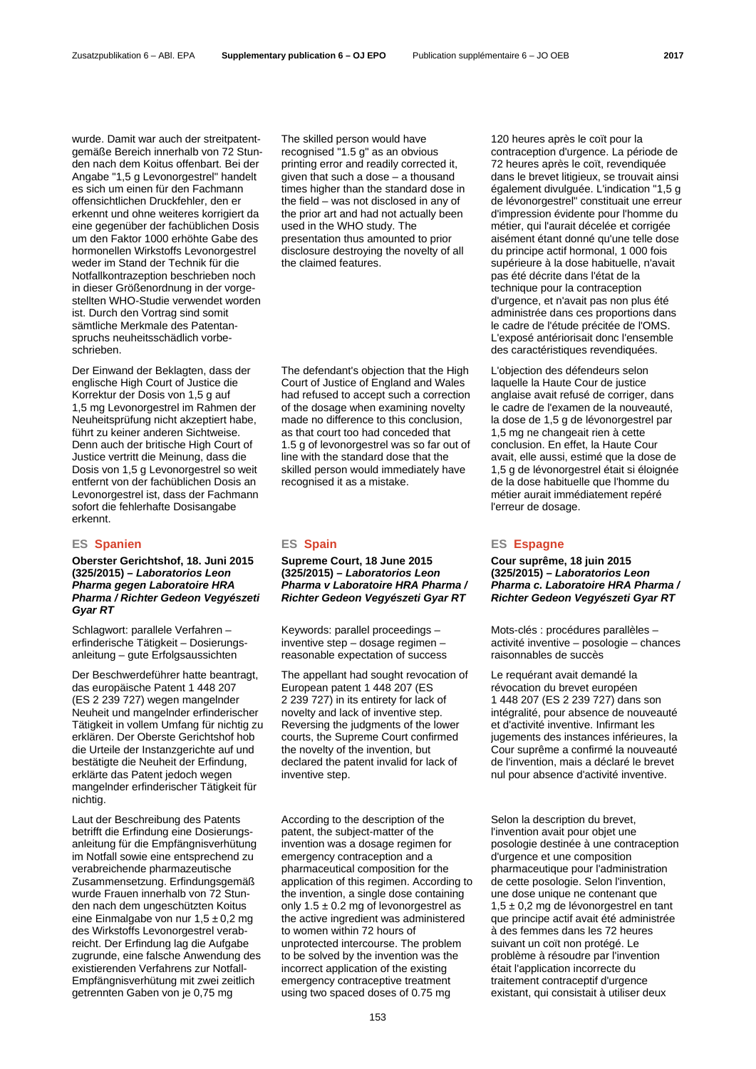wurde. Damit war auch der streitpatentgemäße Bereich innerhalb von 72 Stunden nach dem Koitus offenbart. Bei der Angabe "1,5 g Levonorgestrel" handelt es sich um einen für den Fachmann offensichtlichen Druckfehler, den er erkennt und ohne weiteres korrigiert da eine gegenüber der fachüblichen Dosis um den Faktor 1000 erhöhte Gabe des hormonellen Wirkstoffs Levonorgestrel weder im Stand der Technik für die Notfallkontrazeption beschrieben noch in dieser Größenordnung in der vorgestellten WHO-Studie verwendet worden ist. Durch den Vortrag sind somit sämtliche Merkmale des Patentanspruchs neuheitsschädlich vorbeschrieben.

Der Einwand der Beklagten, dass der englische High Court of Justice die Korrektur der Dosis von 1,5 g auf 1,5 mg Levonorgestrel im Rahmen der Neuheitsprüfung nicht akzeptiert habe, führt zu keiner anderen Sichtweise. Denn auch der britische High Court of Justice vertritt die Meinung, dass die Dosis von 1,5 g Levonorgestrel so weit entfernt von der fachüblichen Dosis an Levonorgestrel ist, dass der Fachmann sofort die fehlerhafte Dosisangabe erkennt.

## **Oberster Gerichtshof, 18. Juni 2015 (325/2015) –** *Laboratorios Leon Pharma gegen Laboratoire HRA Pharma / Richter Gedeon Vegyészeti Gyar RT*

Schlagwort: parallele Verfahren – erfinderische Tätigkeit – Dosierungsanleitung – gute Erfolgsaussichten

Der Beschwerdeführer hatte beantragt, das europäische Patent 1 448 207 (ES 2 239 727) wegen mangelnder Neuheit und mangelnder erfinderischer Tätigkeit in vollem Umfang für nichtig zu erklären. Der Oberste Gerichtshof hob die Urteile der Instanzgerichte auf und bestätigte die Neuheit der Erfindung, erklärte das Patent jedoch wegen mangelnder erfinderischer Tätigkeit für nichtig.

Laut der Beschreibung des Patents betrifft die Erfindung eine Dosierungsanleitung für die Empfängnisverhütung im Notfall sowie eine entsprechend zu verabreichende pharmazeutische Zusammensetzung. Erfindungsgemäß wurde Frauen innerhalb von 72 Stunden nach dem ungeschützten Koitus eine Einmalgabe von nur  $1,5 \pm 0,2$  mg des Wirkstoffs Levonorgestrel verabreicht. Der Erfindung lag die Aufgabe zugrunde, eine falsche Anwendung des existierenden Verfahrens zur Notfall-Empfängnisverhütung mit zwei zeitlich getrennten Gaben von je 0,75 mg

The skilled person would have recognised "1.5 g" as an obvious printing error and readily corrected it, given that such a dose – a thousand times higher than the standard dose in the field – was not disclosed in any of the prior art and had not actually been used in the WHO study. The presentation thus amounted to prior disclosure destroying the novelty of all the claimed features.

 The defendant's objection that the High Court of Justice of England and Wales had refused to accept such a correction of the dosage when examining novelty made no difference to this conclusion, as that court too had conceded that 1.5 g of levonorgestrel was so far out of line with the standard dose that the skilled person would immediately have recognised it as a mistake.

**Supreme Court, 18 June 2015 (325/2015) –** *Laboratorios Leon Pharma v Laboratoire HRA Pharma / Richter Gedeon Vegyészeti Gyar RT*

 Keywords: parallel proceedings – inventive step – dosage regimen – reasonable expectation of success

 The appellant had sought revocation of European patent 1 448 207 (ES 2 239 727) in its entirety for lack of novelty and lack of inventive step. Reversing the judgments of the lower courts, the Supreme Court confirmed the novelty of the invention, but declared the patent invalid for lack of inventive step.

According to the description of the patent, the subject-matter of the invention was a dosage regimen for emergency contraception and a pharmaceutical composition for the application of this regimen. According to the invention, a single dose containing only  $1.5 \pm 0.2$  mg of levonorgestrel as the active ingredient was administered to women within 72 hours of unprotected intercourse. The problem to be solved by the invention was the incorrect application of the existing emergency contraceptive treatment using two spaced doses of 0.75 mg

120 heures après le coït pour la contraception d'urgence. La période de 72 heures après le coït, revendiquée dans le brevet litigieux, se trouvait ainsi également divulguée. L'indication "1,5 g de lévonorgestrel" constituait une erreur d'impression évidente pour l'homme du métier, qui l'aurait décelée et corrigée aisément étant donné qu'une telle dose du principe actif hormonal, 1 000 fois supérieure à la dose habituelle, n'avait pas été décrite dans l'état de la technique pour la contraception d'urgence, et n'avait pas non plus été administrée dans ces proportions dans le cadre de l'étude précitée de l'OMS. L'exposé antériorisait donc l'ensemble des caractéristiques revendiquées.

 L'objection des défendeurs selon laquelle la Haute Cour de justice anglaise avait refusé de corriger, dans le cadre de l'examen de la nouveauté, la dose de 1,5 g de lévonorgestrel par 1,5 mg ne changeait rien à cette conclusion. En effet, la Haute Cour avait, elle aussi, estimé que la dose de 1,5 g de lévonorgestrel était si éloignée de la dose habituelle que l'homme du métier aurait immédiatement repéré l'erreur de dosage.

# **ES Spanien ES Spain ES Espagne**

**Cour suprême, 18 juin 2015 (325/2015) –** *Laboratorios Leon Pharma c. Laboratoire HRA Pharma / Richter Gedeon Vegyészeti Gyar RT*

 Mots-clés : procédures parallèles – activité inventive – posologie – chances raisonnables de succès

 Le requérant avait demandé la révocation du brevet européen 1 448 207 (ES 2 239 727) dans son intégralité, pour absence de nouveauté et d'activité inventive. Infirmant les jugements des instances inférieures, la Cour suprême a confirmé la nouveauté de l'invention, mais a déclaré le brevet nul pour absence d'activité inventive.

 Selon la description du brevet, l'invention avait pour objet une posologie destinée à une contraception d'urgence et une composition pharmaceutique pour l'administration de cette posologie. Selon l'invention, une dose unique ne contenant que 1,5 ± 0,2 mg de lévonorgestrel en tant que principe actif avait été administrée à des femmes dans les 72 heures suivant un coït non protégé. Le problème à résoudre par l'invention était l'application incorrecte du traitement contraceptif d'urgence existant, qui consistait à utiliser deux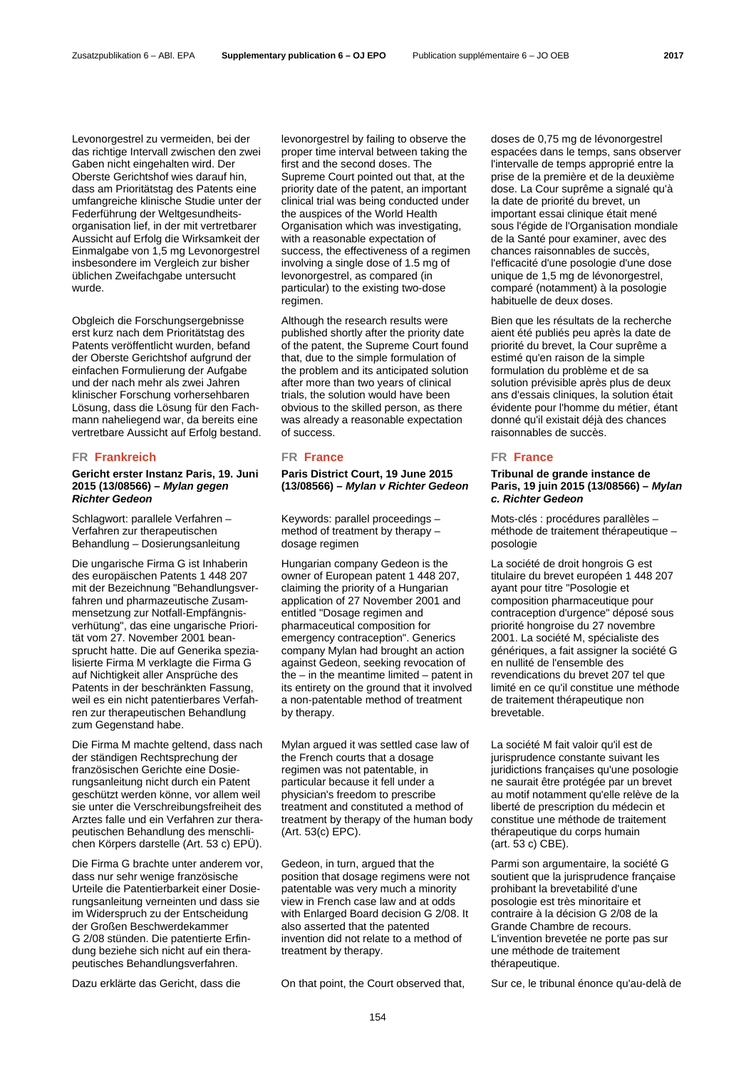Levonorgestrel zu vermeiden, bei der das richtige Intervall zwischen den zwei Gaben nicht eingehalten wird. Der Oberste Gerichtshof wies darauf hin, dass am Prioritätstag des Patents eine umfangreiche klinische Studie unter der Federführung der Weltgesundheitsorganisation lief, in der mit vertretbarer Aussicht auf Erfolg die Wirksamkeit der Einmalgabe von 1,5 mg Levonorgestrel insbesondere im Vergleich zur bisher üblichen Zweifachgabe untersucht wurde.

Obgleich die Forschungsergebnisse erst kurz nach dem Prioritätstag des Patents veröffentlicht wurden, befand der Oberste Gerichtshof aufgrund der einfachen Formulierung der Aufgabe und der nach mehr als zwei Jahren klinischer Forschung vorhersehbaren Lösung, dass die Lösung für den Fachmann naheliegend war, da bereits eine vertretbare Aussicht auf Erfolg bestand.

# **FR Frankreich FR France FR France**

### **Gericht erster Instanz Paris, 19. Juni 2015 (13/08566) –** *Mylan gegen Richter Gedeon*

Schlagwort: parallele Verfahren – Verfahren zur therapeutischen Behandlung – Dosierungsanleitung

Die ungarische Firma G ist Inhaberin des europäischen Patents 1 448 207 mit der Bezeichnung "Behandlungsverfahren und pharmazeutische Zusammensetzung zur Notfall-Empfängnisverhütung", das eine ungarische Priorität vom 27. November 2001 beansprucht hatte. Die auf Generika spezialisierte Firma M verklagte die Firma G auf Nichtigkeit aller Ansprüche des Patents in der beschränkten Fassung, weil es ein nicht patentierbares Verfahren zur therapeutischen Behandlung zum Gegenstand habe.

Die Firma M machte geltend, dass nach der ständigen Rechtsprechung der französischen Gerichte eine Dosierungsanleitung nicht durch ein Patent geschützt werden könne, vor allem weil sie unter die Verschreibungsfreiheit des Arztes falle und ein Verfahren zur therapeutischen Behandlung des menschlichen Körpers darstelle (Art. 53 c) EPÜ).

Die Firma G brachte unter anderem vor, dass nur sehr wenige französische Urteile die Patentierbarkeit einer Dosierungsanleitung verneinten und dass sie im Widerspruch zu der Entscheidung der Großen Beschwerdekammer G 2/08 stünden. Die patentierte Erfindung beziehe sich nicht auf ein therapeutisches Behandlungsverfahren.

levonorgestrel by failing to observe the proper time interval between taking the first and the second doses. The Supreme Court pointed out that, at the priority date of the patent, an important clinical trial was being conducted under the auspices of the World Health Organisation which was investigating, with a reasonable expectation of success, the effectiveness of a regimen involving a single dose of 1.5 mg of levonorgestrel, as compared (in particular) to the existing two-dose regimen.

Although the research results were published shortly after the priority date of the patent, the Supreme Court found that, due to the simple formulation of the problem and its anticipated solution after more than two years of clinical trials, the solution would have been obvious to the skilled person, as there was already a reasonable expectation of success.

### **Paris District Court, 19 June 2015 (13/08566) –** *Mylan v Richter Gedeon*

 Keywords: parallel proceedings – method of treatment by therapy – dosage regimen

 Hungarian company Gedeon is the owner of European patent 1 448 207, claiming the priority of a Hungarian application of 27 November 2001 and entitled "Dosage regimen and pharmaceutical composition for emergency contraception". Generics company Mylan had brought an action against Gedeon, seeking revocation of the – in the meantime limited – patent in its entirety on the ground that it involved a non-patentable method of treatment by therapy.

 Mylan argued it was settled case law of the French courts that a dosage regimen was not patentable, in particular because it fell under a physician's freedom to prescribe treatment and constituted a method of treatment by therapy of the human body (Art. 53(c) EPC).

 Gedeon, in turn, argued that the position that dosage regimens were not patentable was very much a minority view in French case law and at odds with Enlarged Board decision G 2/08. It also asserted that the patented invention did not relate to a method of treatment by therapy.

doses de 0,75 mg de lévonorgestrel espacées dans le temps, sans observer l'intervalle de temps approprié entre la prise de la première et de la deuxième dose. La Cour suprême a signalé qu'à la date de priorité du brevet, un important essai clinique était mené sous l'égide de l'Organisation mondiale de la Santé pour examiner, avec des chances raisonnables de succès, l'efficacité d'une posologie d'une dose unique de 1,5 mg de lévonorgestrel, comparé (notamment) à la posologie habituelle de deux doses.

 Bien que les résultats de la recherche aient été publiés peu après la date de priorité du brevet, la Cour suprême a estimé qu'en raison de la simple formulation du problème et de sa solution prévisible après plus de deux ans d'essais cliniques, la solution était évidente pour l'homme du métier, étant donné qu'il existait déjà des chances raisonnables de succès.

## **Tribunal de grande instance de Paris, 19 juin 2015 (13/08566) –** *Mylan c. Richter Gedeon*

 Mots-clés : procédures parallèles – méthode de traitement thérapeutique – posologie

 La société de droit hongrois G est titulaire du brevet européen 1 448 207 ayant pour titre "Posologie et composition pharmaceutique pour contraception d'urgence" déposé sous priorité hongroise du 27 novembre 2001. La société M, spécialiste des génériques, a fait assigner la société G en nullité de l'ensemble des revendications du brevet 207 tel que limité en ce qu'il constitue une méthode de traitement thérapeutique non brevetable.

La société M fait valoir qu'il est de jurisprudence constante suivant les juridictions françaises qu'une posologie ne saurait être protégée par un brevet au motif notamment qu'elle relève de la liberté de prescription du médecin et constitue une méthode de traitement thérapeutique du corps humain (art. 53 c) CBE).

 Parmi son argumentaire, la société G soutient que la jurisprudence française prohibant la brevetabilité d'une posologie est très minoritaire et contraire à la décision G 2/08 de la Grande Chambre de recours. L'invention brevetée ne porte pas sur une méthode de traitement thérapeutique.

Dazu erklärte das Gericht, dass die Con that point, the Court observed that, Sur ce, le tribunal énonce qu'au-delà de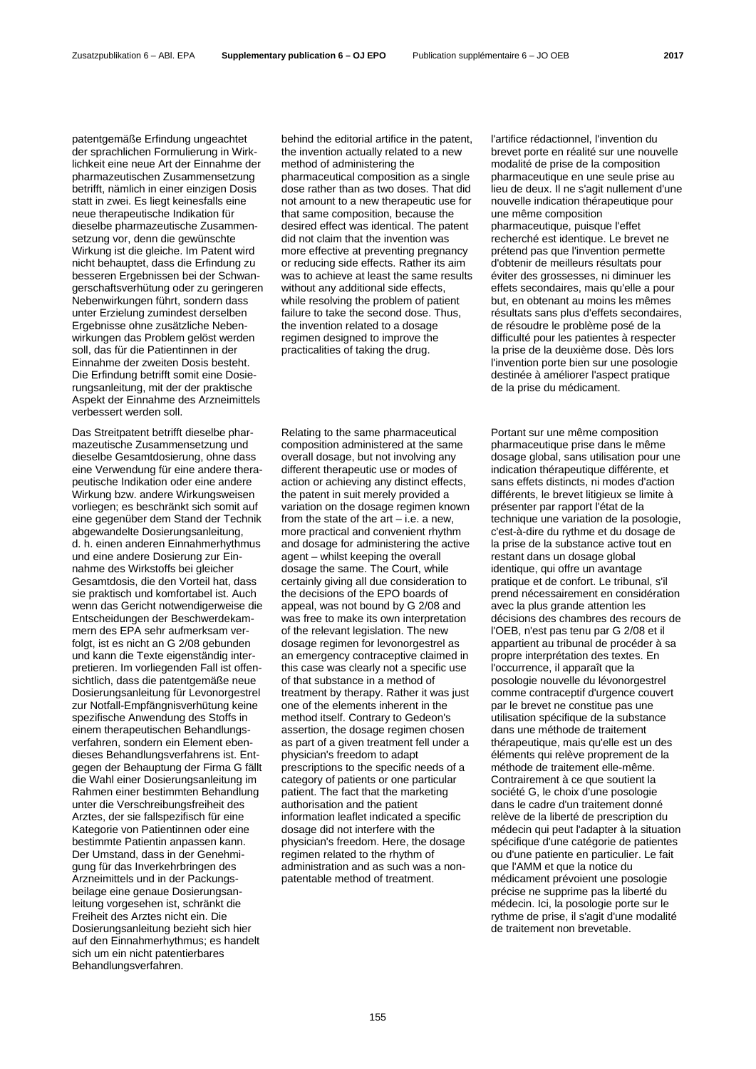patentgemäße Erfindung ungeachtet der sprachlichen Formulierung in Wirklichkeit eine neue Art der Einnahme der pharmazeutischen Zusammensetzung betrifft, nämlich in einer einzigen Dosis statt in zwei. Es liegt keinesfalls eine neue therapeutische Indikation für dieselbe pharmazeutische Zusammensetzung vor, denn die gewünschte Wirkung ist die gleiche. Im Patent wird nicht behauptet, dass die Erfindung zu besseren Ergebnissen bei der Schwangerschaftsverhütung oder zu geringeren Nebenwirkungen führt, sondern dass unter Erzielung zumindest derselben Ergebnisse ohne zusätzliche Nebenwirkungen das Problem gelöst werden soll, das für die Patientinnen in der Einnahme der zweiten Dosis besteht. Die Erfindung betrifft somit eine Dosierungsanleitung, mit der der praktische Aspekt der Einnahme des Arzneimittels verbessert werden soll.

Das Streitpatent betrifft dieselbe pharmazeutische Zusammensetzung und dieselbe Gesamtdosierung, ohne dass eine Verwendung für eine andere therapeutische Indikation oder eine andere Wirkung bzw. andere Wirkungsweisen vorliegen; es beschränkt sich somit auf eine gegenüber dem Stand der Technik abgewandelte Dosierungsanleitung, d. h. einen anderen Einnahmerhythmus und eine andere Dosierung zur Einnahme des Wirkstoffs bei gleicher Gesamtdosis, die den Vorteil hat, dass sie praktisch und komfortabel ist. Auch wenn das Gericht notwendigerweise die Entscheidungen der Beschwerdekammern des EPA sehr aufmerksam verfolgt, ist es nicht an G 2/08 gebunden und kann die Texte eigenständig interpretieren. Im vorliegenden Fall ist offensichtlich, dass die patentgemäße neue Dosierungsanleitung für Levonorgestrel zur Notfall-Empfängnisverhütung keine spezifische Anwendung des Stoffs in einem therapeutischen Behandlungsverfahren, sondern ein Element ebendieses Behandlungsverfahrens ist. Entgegen der Behauptung der Firma G fällt die Wahl einer Dosierungsanleitung im Rahmen einer bestimmten Behandlung unter die Verschreibungsfreiheit des Arztes, der sie fallspezifisch für eine Kategorie von Patientinnen oder eine bestimmte Patientin anpassen kann. Der Umstand, dass in der Genehmigung für das Inverkehrbringen des Arzneimittels und in der Packungsbeilage eine genaue Dosierungsanleitung vorgesehen ist, schränkt die Freiheit des Arztes nicht ein. Die Dosierungsanleitung bezieht sich hier auf den Einnahmerhythmus; es handelt sich um ein nicht patentierbares Behandlungsverfahren.

behind the editorial artifice in the patent, the invention actually related to a new method of administering the pharmaceutical composition as a single dose rather than as two doses. That did not amount to a new therapeutic use for that same composition, because the desired effect was identical. The patent did not claim that the invention was more effective at preventing pregnancy or reducing side effects. Rather its aim was to achieve at least the same results without any additional side effects, while resolving the problem of patient failure to take the second dose. Thus, the invention related to a dosage regimen designed to improve the practicalities of taking the drug.

 Relating to the same pharmaceutical composition administered at the same overall dosage, but not involving any different therapeutic use or modes of action or achieving any distinct effects, the patent in suit merely provided a variation on the dosage regimen known from the state of the  $art - i.e.$  a new, more practical and convenient rhythm and dosage for administering the active agent – whilst keeping the overall dosage the same. The Court, while certainly giving all due consideration to the decisions of the EPO boards of appeal, was not bound by G 2/08 and was free to make its own interpretation of the relevant legislation. The new dosage regimen for levonorgestrel as an emergency contraceptive claimed in this case was clearly not a specific use of that substance in a method of treatment by therapy. Rather it was just one of the elements inherent in the method itself. Contrary to Gedeon's assertion, the dosage regimen chosen as part of a given treatment fell under a physician's freedom to adapt prescriptions to the specific needs of a category of patients or one particular patient. The fact that the marketing authorisation and the patient information leaflet indicated a specific dosage did not interfere with the physician's freedom. Here, the dosage regimen related to the rhythm of administration and as such was a nonpatentable method of treatment.

l'artifice rédactionnel, l'invention du brevet porte en réalité sur une nouvelle modalité de prise de la composition pharmaceutique en une seule prise au lieu de deux. Il ne s'agit nullement d'une nouvelle indication thérapeutique pour une même composition pharmaceutique, puisque l'effet recherché est identique. Le brevet ne prétend pas que l'invention permette d'obtenir de meilleurs résultats pour éviter des grossesses, ni diminuer les effets secondaires, mais qu'elle a pour but, en obtenant au moins les mêmes résultats sans plus d'effets secondaires, de résoudre le problème posé de la difficulté pour les patientes à respecter la prise de la deuxième dose. Dès lors l'invention porte bien sur une posologie destinée à améliorer l'aspect pratique de la prise du médicament.

 Portant sur une même composition pharmaceutique prise dans le même dosage global, sans utilisation pour une indication thérapeutique différente, et sans effets distincts, ni modes d'action différents, le brevet litigieux se limite à présenter par rapport l'état de la technique une variation de la posologie, c'est-à-dire du rythme et du dosage de la prise de la substance active tout en restant dans un dosage global identique, qui offre un avantage pratique et de confort. Le tribunal, s'il prend nécessairement en considération avec la plus grande attention les décisions des chambres des recours de l'OEB, n'est pas tenu par G 2/08 et il appartient au tribunal de procéder à sa propre interprétation des textes. En l'occurrence, il apparaît que la posologie nouvelle du lévonorgestrel comme contraceptif d'urgence couvert par le brevet ne constitue pas une utilisation spécifique de la substance dans une méthode de traitement thérapeutique, mais qu'elle est un des éléments qui relève proprement de la méthode de traitement elle-même. Contrairement à ce que soutient la société G, le choix d'une posologie dans le cadre d'un traitement donné relève de la liberté de prescription du médecin qui peut l'adapter à la situation spécifique d'une catégorie de patientes ou d'une patiente en particulier. Le fait que l'AMM et que la notice du médicament prévoient une posologie précise ne supprime pas la liberté du médecin. Ici, la posologie porte sur le rythme de prise, il s'agit d'une modalité de traitement non brevetable.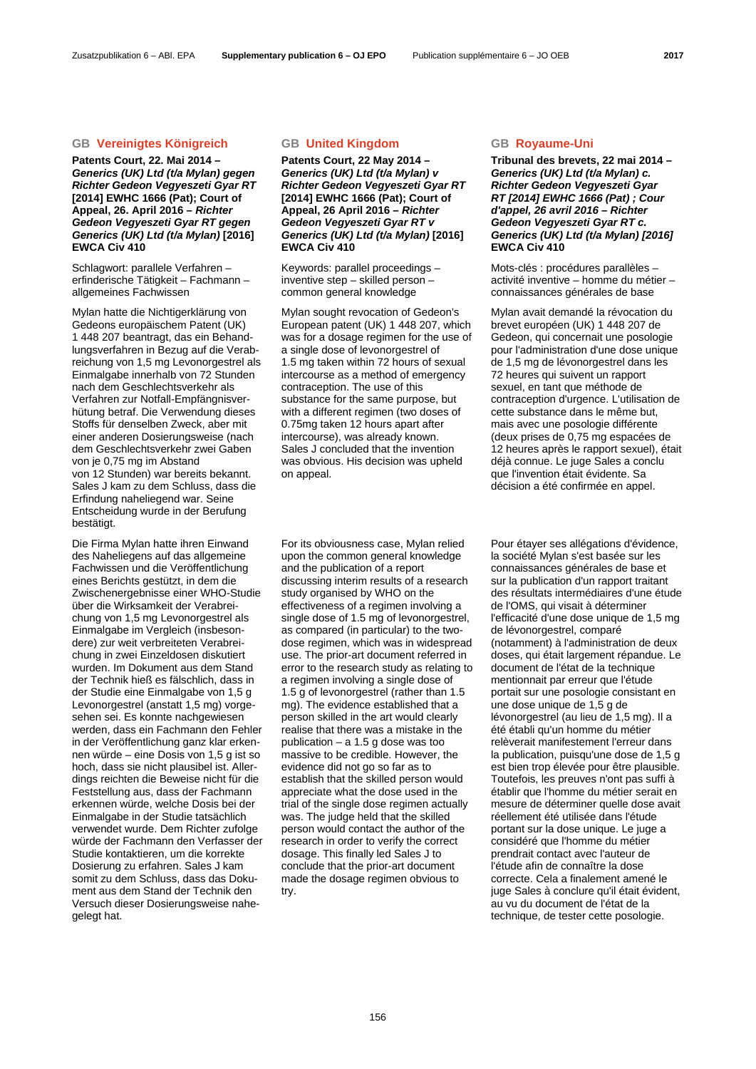### **GB Vereinigtes Königreich GB United Kingdom GB Royaume-Uni**

**Patents Court, 22. Mai 2014 –** *Generics (UK) Ltd (t/a Mylan) gegen Richter Gedeon Vegyeszeti Gyar RT* **[2014] EWHC 1666 (Pat); Court of Appeal, 26. April 2016 –** *Richter Gedeon Vegyeszeti Gyar RT gegen Generics (UK) Ltd (t/a Mylan)* **[2016] EWCA Civ 410** 

Schlagwort: parallele Verfahren – erfinderische Tätigkeit – Fachmann – allgemeines Fachwissen

Mylan hatte die Nichtigerklärung von Gedeons europäischem Patent (UK) 1 448 207 beantragt, das ein Behandlungsverfahren in Bezug auf die Verabreichung von 1,5 mg Levonorgestrel als Einmalgabe innerhalb von 72 Stunden nach dem Geschlechtsverkehr als Verfahren zur Notfall-Empfängnisverhütung betraf. Die Verwendung dieses Stoffs für denselben Zweck, aber mit einer anderen Dosierungsweise (nach dem Geschlechtsverkehr zwei Gaben von je 0,75 mg im Abstand von 12 Stunden) war bereits bekannt. Sales J kam zu dem Schluss, dass die Erfindung naheliegend war. Seine Entscheidung wurde in der Berufung bestätigt.

Die Firma Mylan hatte ihren Einwand des Naheliegens auf das allgemeine Fachwissen und die Veröffentlichung eines Berichts gestützt, in dem die Zwischenergebnisse einer WHO-Studie über die Wirksamkeit der Verabreichung von 1,5 mg Levonorgestrel als Einmalgabe im Vergleich (insbesondere) zur weit verbreiteten Verabreichung in zwei Einzeldosen diskutiert wurden. Im Dokument aus dem Stand der Technik hieß es fälschlich, dass in der Studie eine Einmalgabe von 1,5 g Levonorgestrel (anstatt 1,5 mg) vorgesehen sei. Es konnte nachgewiesen werden, dass ein Fachmann den Fehler in der Veröffentlichung ganz klar erkennen würde – eine Dosis von 1,5 g ist so hoch, dass sie nicht plausibel ist. Allerdings reichten die Beweise nicht für die Feststellung aus, dass der Fachmann erkennen würde, welche Dosis bei der Einmalgabe in der Studie tatsächlich verwendet wurde. Dem Richter zufolge würde der Fachmann den Verfasser der Studie kontaktieren, um die korrekte Dosierung zu erfahren. Sales J kam somit zu dem Schluss, dass das Dokument aus dem Stand der Technik den Versuch dieser Dosierungsweise nahegelegt hat.

**Patents Court, 22 May 2014 –** *Generics (UK) Ltd (t/a Mylan) v Richter Gedeon Vegyeszeti Gyar RT* **[2014] EWHC 1666 (Pat); Court of Appeal, 26 April 2016 –** *Richter Gedeon Vegyeszeti Gyar RT v Generics (UK) Ltd (t/a Mylan)* **[2016] EWCA Civ 410** 

 Keywords: parallel proceedings – inventive step – skilled person – common general knowledge

 Mylan sought revocation of Gedeon's European patent (UK) 1 448 207, which was for a dosage regimen for the use of a single dose of levonorgestrel of 1.5 mg taken within 72 hours of sexual intercourse as a method of emergency contraception. The use of this substance for the same purpose, but with a different regimen (two doses of 0.75mg taken 12 hours apart after intercourse), was already known. Sales J concluded that the invention was obvious. His decision was upheld on appeal.

 For its obviousness case, Mylan relied upon the common general knowledge and the publication of a report discussing interim results of a research study organised by WHO on the effectiveness of a regimen involving a single dose of 1.5 mg of levonorgestrel, as compared (in particular) to the twodose regimen, which was in widespread use. The prior-art document referred in error to the research study as relating to a regimen involving a single dose of 1.5 g of levonorgestrel (rather than 1.5 mg). The evidence established that a person skilled in the art would clearly realise that there was a mistake in the publication – a 1.5 g dose was too massive to be credible. However, the evidence did not go so far as to establish that the skilled person would appreciate what the dose used in the trial of the single dose regimen actually was. The judge held that the skilled person would contact the author of the research in order to verify the correct dosage. This finally led Sales J to conclude that the prior-art document made the dosage regimen obvious to try.

**Tribunal des brevets, 22 mai 2014 –** *Generics (UK) Ltd (t/a Mylan) c. Richter Gedeon Vegyeszeti Gyar RT [2014] EWHC 1666 (Pat) ; Cour d'appel, 26 avril 2016 – Richter Gedeon Vegyeszeti Gyar RT c. Generics (UK) Ltd (t/a Mylan) [2016]* **EWCA Civ 410**

 Mots-clés : procédures parallèles – activité inventive – homme du métier – connaissances générales de base

 Mylan avait demandé la révocation du brevet européen (UK) 1 448 207 de Gedeon, qui concernait une posologie pour l'administration d'une dose unique de 1,5 mg de lévonorgestrel dans les 72 heures qui suivent un rapport sexuel, en tant que méthode de contraception d'urgence. L'utilisation de cette substance dans le même but, mais avec une posologie différente (deux prises de 0,75 mg espacées de 12 heures après le rapport sexuel), était déjà connue. Le juge Sales a conclu que l'invention était évidente. Sa décision a été confirmée en appel.

 Pour étayer ses allégations d'évidence, la société Mylan s'est basée sur les connaissances générales de base et sur la publication d'un rapport traitant des résultats intermédiaires d'une étude de l'OMS, qui visait à déterminer l'efficacité d'une dose unique de 1,5 mg de lévonorgestrel, comparé (notamment) à l'administration de deux doses, qui était largement répandue. Le document de l'état de la technique mentionnait par erreur que l'étude portait sur une posologie consistant en une dose unique de 1,5 g de lévonorgestrel (au lieu de 1,5 mg). Il a été établi qu'un homme du métier relèverait manifestement l'erreur dans la publication, puisqu'une dose de 1,5 g est bien trop élevée pour être plausible. Toutefois, les preuves n'ont pas suffi à établir que l'homme du métier serait en mesure de déterminer quelle dose avait réellement été utilisée dans l'étude portant sur la dose unique. Le juge a considéré que l'homme du métier prendrait contact avec l'auteur de l'étude afin de connaître la dose correcte. Cela a finalement amené le juge Sales à conclure qu'il était évident, au vu du document de l'état de la technique, de tester cette posologie.